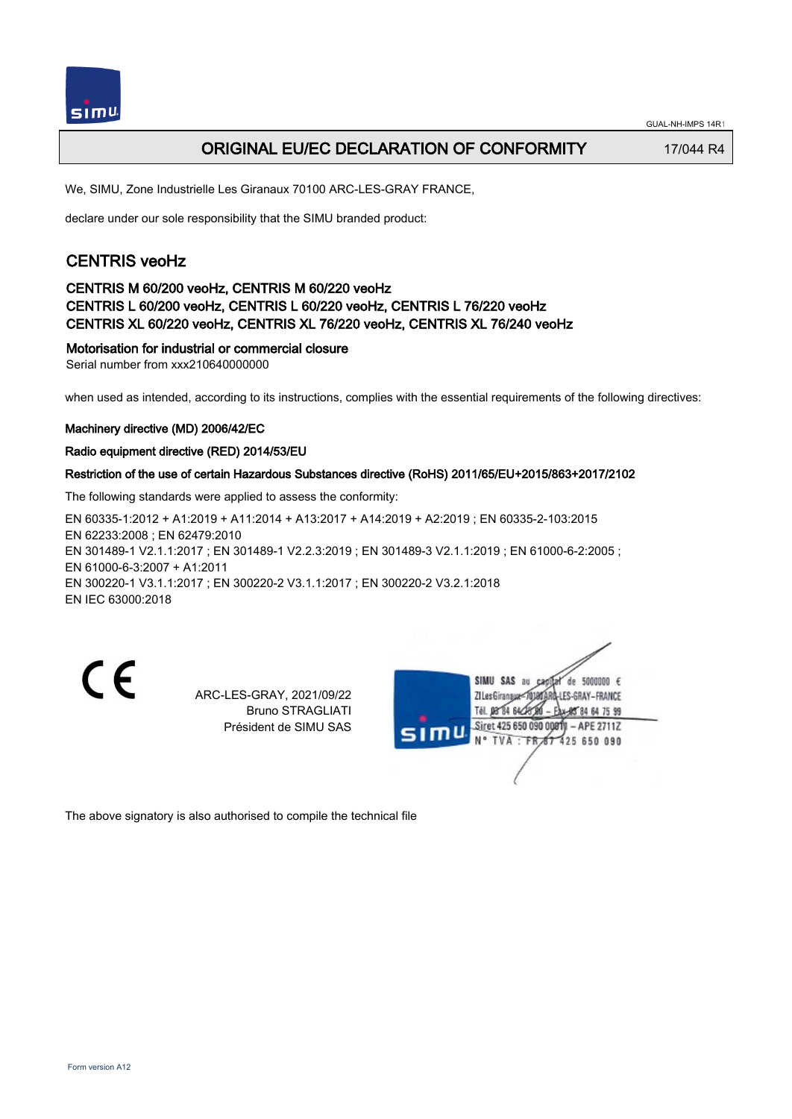

# ORIGINAL EU/EC DECLARATION OF CONFORMITY 17/044 R4

We, SIMU, Zone Industrielle Les Giranaux 70100 ARC-LES-GRAY FRANCE,

declare under our sole responsibility that the SIMU branded product:

# CENTRIS veoHz

## CENTRIS M 60/200 veoHz, CENTRIS M 60/220 veoHz CENTRIS L 60/200 veoHz, CENTRIS L 60/220 veoHz, CENTRIS L 76/220 veoHz CENTRIS XL 60/220 veoHz, CENTRIS XL 76/220 veoHz, CENTRIS XL 76/240 veoHz

## Motorisation for industrial or commercial closure

Serial number from xxx210640000000

when used as intended, according to its instructions, complies with the essential requirements of the following directives:

### Machinery directive (MD) 2006/42/EC

### Radio equipment directive (RED) 2014/53/EU

### Restriction of the use of certain Hazardous Substances directive (RoHS) 2011/65/EU+2015/863+2017/2102

The following standards were applied to assess the conformity:

EN 60335‑1:2012 + A1:2019 + A11:2014 + A13:2017 + A14:2019 + A2:2019 ; EN 60335‑2‑103:2015 EN 62233:2008 ; EN 62479:2010 EN 301489-1 V2.1.1:2017 ; EN 301489-1 V2.2.3:2019 ; EN 301489-3 V2.1.1:2019 ; EN 61000-6-2:2005 ; EN 61000‑6‑3:2007 + A1:2011 EN 300220‑1 V3.1.1:2017 ; EN 300220‑2 V3.1.1:2017 ; EN 300220‑2 V3.2.1:2018 EN IEC 63000:2018

C E

ARC-LES-GRAY, 2021/09/22 Bruno STRAGLIATI Président de SIMU SAS



The above signatory is also authorised to compile the technical file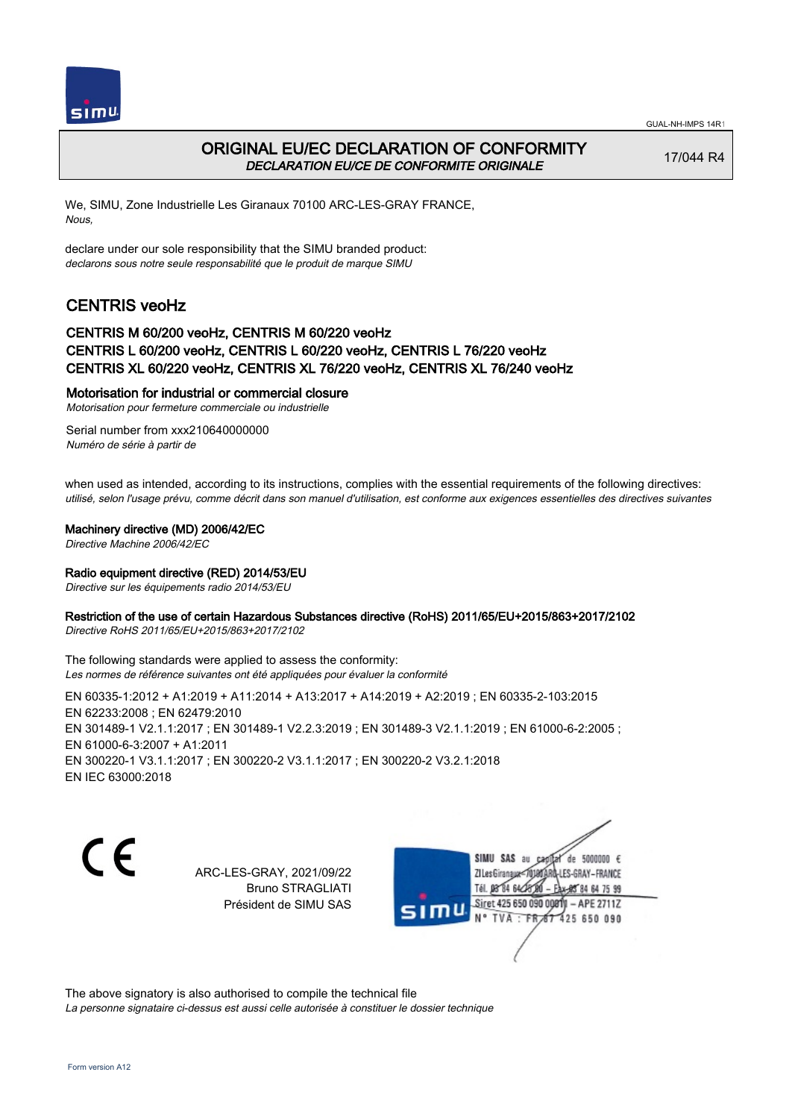



## ORIGINAL EU/EC DECLARATION OF CONFORMITY DECLARATION EU/CE DE CONFORMITE ORIGINALE

17/044 R4

We, SIMU, Zone Industrielle Les Giranaux 70100 ARC-LES-GRAY FRANCE, Nous,

declare under our sole responsibility that the SIMU branded product: declarons sous notre seule responsabilité que le produit de marque SIMU

# CENTRIS veoHz

### CENTRIS M 60/200 veoHz, CENTRIS M 60/220 veoHz CENTRIS L 60/200 veoHz, CENTRIS L 60/220 veoHz, CENTRIS L 76/220 veoHz CENTRIS XL 60/220 veoHz, CENTRIS XL 76/220 veoHz, CENTRIS XL 76/240 veoHz

### Motorisation for industrial or commercial closure

Motorisation pour fermeture commerciale ou industrielle

Serial number from xxx210640000000 Numéro de série à partir de

when used as intended, according to its instructions, complies with the essential requirements of the following directives: utilisé, selon l'usage prévu, comme décrit dans son manuel d'utilisation, est conforme aux exigences essentielles des directives suivantes

### Machinery directive (MD) 2006/42/EC

Directive Machine 2006/42/EC

### Radio equipment directive (RED) 2014/53/EU

Directive sur les équipements radio 2014/53/EU

### Restriction of the use of certain Hazardous Substances directive (RoHS) 2011/65/EU+2015/863+2017/2102

Directive RoHS 2011/65/EU+2015/863+2017/2102

The following standards were applied to assess the conformity: Les normes de référence suivantes ont été appliquées pour évaluer la conformité

EN 60335‑1:2012 + A1:2019 + A11:2014 + A13:2017 + A14:2019 + A2:2019 ; EN 60335‑2‑103:2015 EN 62233:2008 ; EN 62479:2010 EN 301489-1 V2.1.1:2017 ; EN 301489-1 V2.2.3:2019 ; EN 301489-3 V2.1.1:2019 ; EN 61000-6-2:2005 ; EN 61000‑6‑3:2007 + A1:2011 EN 300220‑1 V3.1.1:2017 ; EN 300220‑2 V3.1.1:2017 ; EN 300220‑2 V3.2.1:2018 EN IEC 63000:2018

C E

ARC-LES-GRAY, 2021/09/22 Bruno STRAGLIATI Président de SIMU SAS

SIMU SAS au de 5000000  $\epsilon$ ZI Les Giranaux</DJ80 -LES-GRAY-FRANCE Tél. 08 84 64 28 85 84 64 75 99 Siret 425 650 090 0081  $-$  APE 2711Z mu N° TVA · FRAT 425 650 090

The above signatory is also authorised to compile the technical file La personne signataire ci-dessus est aussi celle autorisée à constituer le dossier technique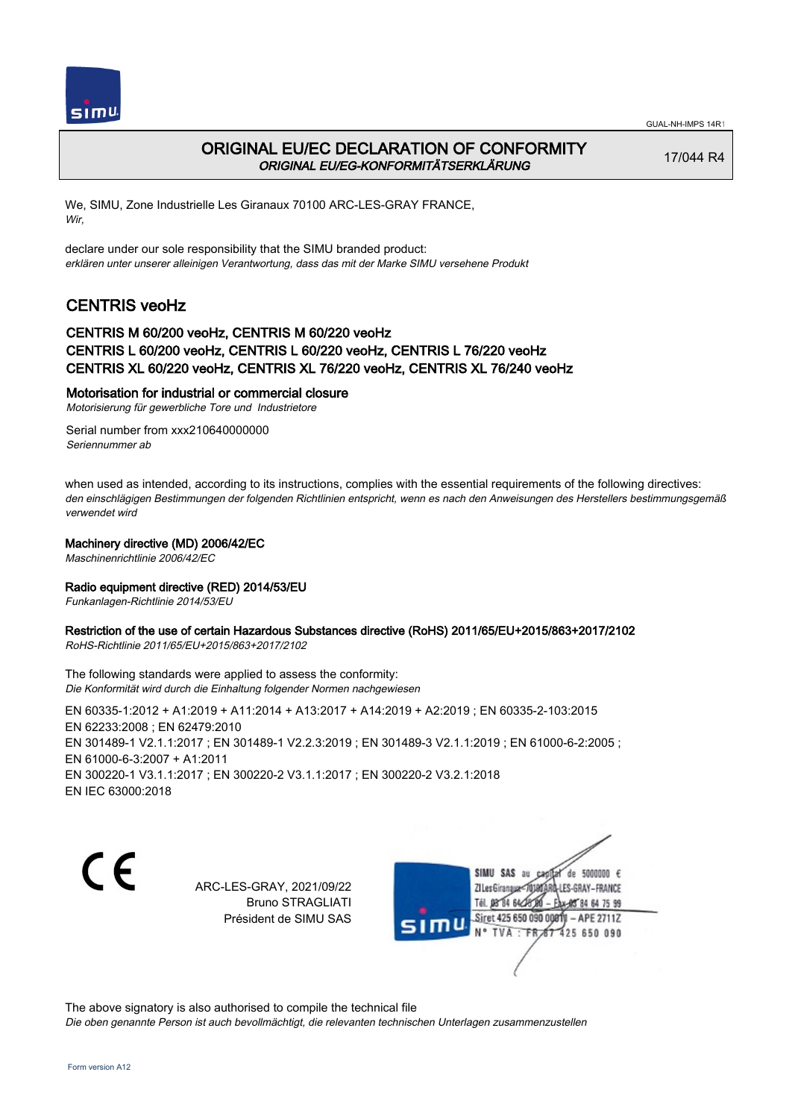



## ORIGINAL EU/EC DECLARATION OF CONFORMITY ORIGINAL EU/EG-KONFORMITÄTSERKLÄRUNG

17/044 R4

We, SIMU, Zone Industrielle Les Giranaux 70100 ARC-LES-GRAY FRANCE, Wir,

declare under our sole responsibility that the SIMU branded product: erklären unter unserer alleinigen Verantwortung, dass das mit der Marke SIMU versehene Produkt

# CENTRIS veoHz

### CENTRIS M 60/200 veoHz, CENTRIS M 60/220 veoHz CENTRIS L 60/200 veoHz, CENTRIS L 60/220 veoHz, CENTRIS L 76/220 veoHz CENTRIS XL 60/220 veoHz, CENTRIS XL 76/220 veoHz, CENTRIS XL 76/240 veoHz

### Motorisation for industrial or commercial closure

Motorisierung für gewerbliche Tore und Industrietore

Serial number from xxx210640000000 Seriennummer ab

when used as intended, according to its instructions, complies with the essential requirements of the following directives: den einschlägigen Bestimmungen der folgenden Richtlinien entspricht, wenn es nach den Anweisungen des Herstellers bestimmungsgemäß verwendet wird

### Machinery directive (MD) 2006/42/EC

Maschinenrichtlinie 2006/42/EC

### Radio equipment directive (RED) 2014/53/EU

Funkanlagen-Richtlinie 2014/53/EU

## Restriction of the use of certain Hazardous Substances directive (RoHS) 2011/65/EU+2015/863+2017/2102

RoHS-Richtlinie 2011/65/EU+2015/863+2017/2102

The following standards were applied to assess the conformity: Die Konformität wird durch die Einhaltung folgender Normen nachgewiesen

EN 60335‑1:2012 + A1:2019 + A11:2014 + A13:2017 + A14:2019 + A2:2019 ; EN 60335‑2‑103:2015 EN 62233:2008 ; EN 62479:2010 EN 301489-1 V2.1.1:2017 ; EN 301489-1 V2.2.3:2019 ; EN 301489-3 V2.1.1:2019 ; EN 61000-6-2:2005 ; EN 61000‑6‑3:2007 + A1:2011 EN 300220‑1 V3.1.1:2017 ; EN 300220‑2 V3.1.1:2017 ; EN 300220‑2 V3.2.1:2018 EN IEC 63000:2018

 $\epsilon$ 

ARC-LES-GRAY, 2021/09/22 Bruno STRAGLIATI Président de SIMU SAS



The above signatory is also authorised to compile the technical file

Die oben genannte Person ist auch bevollmächtigt, die relevanten technischen Unterlagen zusammenzustellen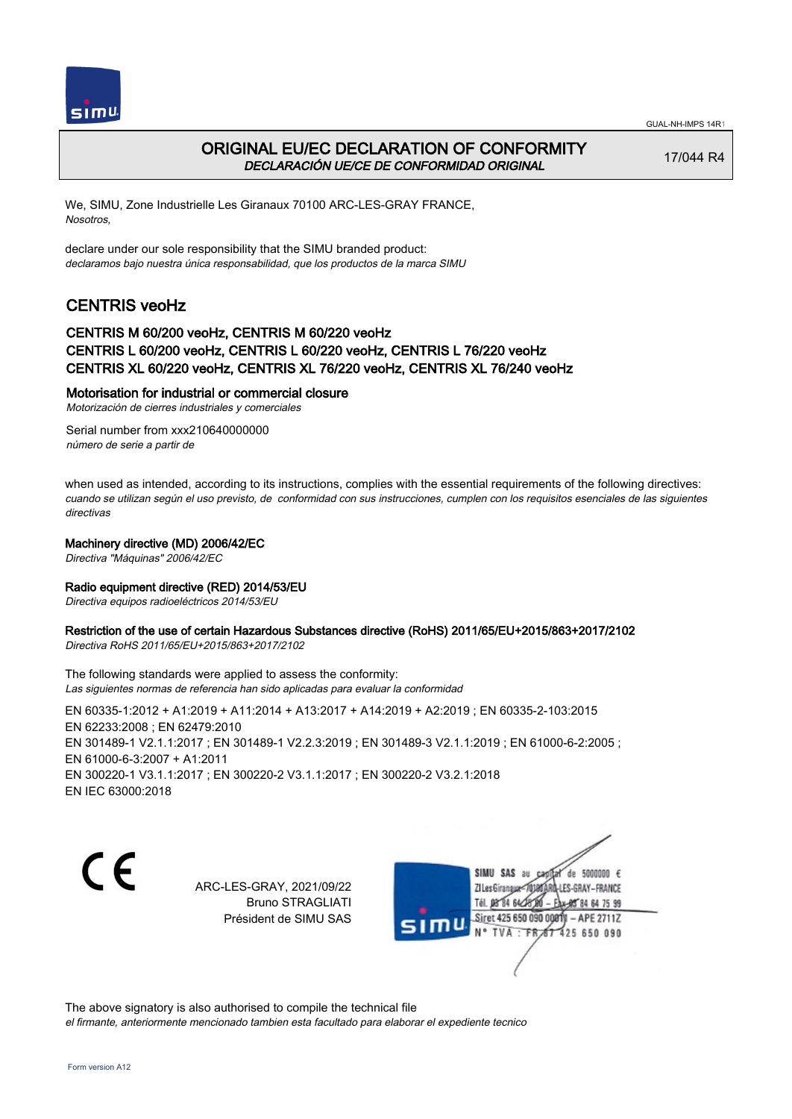



## ORIGINAL EU/EC DECLARATION OF CONFORMITY DECLARACIÓN UE/CE DE CONFORMIDAD ORIGINAL

17/044 R4

We, SIMU, Zone Industrielle Les Giranaux 70100 ARC-LES-GRAY FRANCE, Nosotros,

declare under our sole responsibility that the SIMU branded product: declaramos bajo nuestra única responsabilidad, que los productos de la marca SIMU

# CENTRIS veoHz

### CENTRIS M 60/200 veoHz, CENTRIS M 60/220 veoHz CENTRIS L 60/200 veoHz, CENTRIS L 60/220 veoHz, CENTRIS L 76/220 veoHz CENTRIS XL 60/220 veoHz, CENTRIS XL 76/220 veoHz, CENTRIS XL 76/240 veoHz

### Motorisation for industrial or commercial closure

Motorización de cierres industriales y comerciales

Serial number from xxx210640000000 número de serie a partir de

when used as intended, according to its instructions, complies with the essential requirements of the following directives: cuando se utilizan según el uso previsto, de conformidad con sus instrucciones, cumplen con los requisitos esenciales de las siguientes directivas

### Machinery directive (MD) 2006/42/EC

Directiva "Máquinas" 2006/42/EC

### Radio equipment directive (RED) 2014/53/EU

Directiva equipos radioeléctricos 2014/53/EU

# Restriction of the use of certain Hazardous Substances directive (RoHS) 2011/65/EU+2015/863+2017/2102

Directiva RoHS 2011/65/EU+2015/863+2017/2102

The following standards were applied to assess the conformity: Las siguientes normas de referencia han sido aplicadas para evaluar la conformidad

EN 60335‑1:2012 + A1:2019 + A11:2014 + A13:2017 + A14:2019 + A2:2019 ; EN 60335‑2‑103:2015 EN 62233:2008 ; EN 62479:2010 EN 301489-1 V2.1.1:2017 ; EN 301489-1 V2.2.3:2019 ; EN 301489-3 V2.1.1:2019 ; EN 61000-6-2:2005 ; EN 61000‑6‑3:2007 + A1:2011 EN 300220‑1 V3.1.1:2017 ; EN 300220‑2 V3.1.1:2017 ; EN 300220‑2 V3.2.1:2018 EN IEC 63000:2018

 $\epsilon$ 

ARC-LES-GRAY, 2021/09/22 Bruno STRAGLIATI Président de SIMU SAS

SIMU SAS au de 5000000  $\epsilon$ ZI Les Giranaux</r0) LES-GRAY-FRANCE Tél. 08 84 64 2 84 64 75 99 Siret 425 650 090 00811  $-$  APE 2711Z 425 650 090

The above signatory is also authorised to compile the technical file el firmante, anteriormente mencionado tambien esta facultado para elaborar el expediente tecnico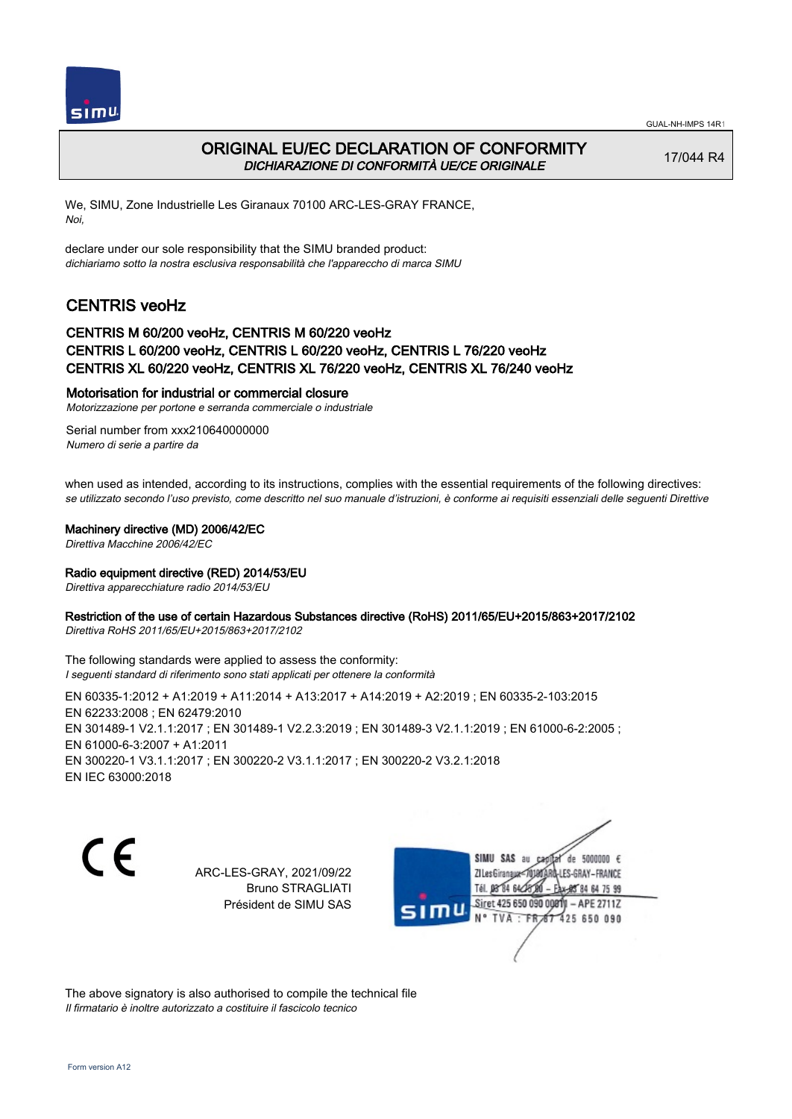



# ORIGINAL EU/EC DECLARATION OF CONFORMITY DICHIARAZIONE DI CONFORMITÀ UE/CE ORIGINALE

17/044 R4

We, SIMU, Zone Industrielle Les Giranaux 70100 ARC-LES-GRAY FRANCE, Noi,

declare under our sole responsibility that the SIMU branded product: dichiariamo sotto la nostra esclusiva responsabilità che l'appareccho di marca SIMU

# CENTRIS veoHz

## CENTRIS M 60/200 veoHz, CENTRIS M 60/220 veoHz CENTRIS L 60/200 veoHz, CENTRIS L 60/220 veoHz, CENTRIS L 76/220 veoHz CENTRIS XL 60/220 veoHz, CENTRIS XL 76/220 veoHz, CENTRIS XL 76/240 veoHz

#### Motorisation for industrial or commercial closure

Motorizzazione per portone e serranda commerciale o industriale

Serial number from xxx210640000000 Numero di serie a partire da

when used as intended, according to its instructions, complies with the essential requirements of the following directives: se utilizzato secondo l'uso previsto, come descritto nel suo manuale d'istruzioni, è conforme ai requisiti essenziali delle seguenti Direttive

#### Machinery directive (MD) 2006/42/EC

Direttiva Macchine 2006/42/EC

### Radio equipment directive (RED) 2014/53/EU

Direttiva apparecchiature radio 2014/53/EU

### Restriction of the use of certain Hazardous Substances directive (RoHS) 2011/65/EU+2015/863+2017/2102

Direttiva RoHS 2011/65/EU+2015/863+2017/2102

The following standards were applied to assess the conformity: I seguenti standard di riferimento sono stati applicati per ottenere la conformità

EN 60335‑1:2012 + A1:2019 + A11:2014 + A13:2017 + A14:2019 + A2:2019 ; EN 60335‑2‑103:2015 EN 62233:2008 ; EN 62479:2010 EN 301489-1 V2.1.1:2017 ; EN 301489-1 V2.2.3:2019 ; EN 301489-3 V2.1.1:2019 ; EN 61000-6-2:2005 ; EN 61000‑6‑3:2007 + A1:2011 EN 300220‑1 V3.1.1:2017 ; EN 300220‑2 V3.1.1:2017 ; EN 300220‑2 V3.2.1:2018 EN IEC 63000:2018

C E

ARC-LES-GRAY, 2021/09/22 Bruno STRAGLIATI Président de SIMU SAS

SIMU SAS au de 5000000  $\epsilon$ ZI Les Giranaux</br/>701807 -LES-GRAY-FRANCE Tél. 08 84 64 28 85 84 64 75 99 Siret 425 650 090 0081  $-$  APE 2711Z mu 425 650 090 TVA · FRAT

The above signatory is also authorised to compile the technical file Il firmatario è inoltre autorizzato a costituire il fascicolo tecnico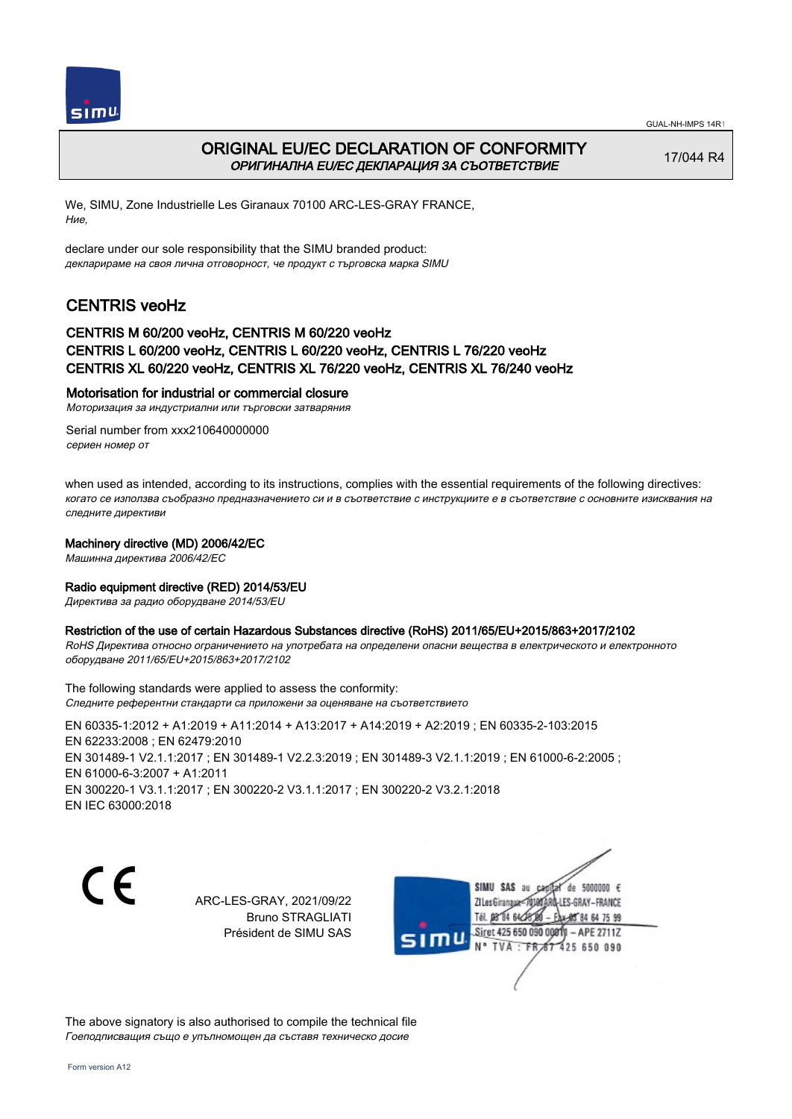



## ORIGINAL EU/EC DECLARATION OF CONFORMITY ОРИГИНАЛНА EU/EC ДЕКЛАРАЦИЯ ЗА СЪОТВЕТСТВИЕ

17/044 R4

We, SIMU, Zone Industrielle Les Giranaux 70100 ARC-LES-GRAY FRANCE, Ние,

declare under our sole responsibility that the SIMU branded product: декларираме на своя лична отговорност, че продукт с търговска марка SIMU

# CENTRIS veoHz

### CENTRIS M 60/200 veoHz, CENTRIS M 60/220 veoHz CENTRIS L 60/200 veoHz, CENTRIS L 60/220 veoHz, CENTRIS L 76/220 veoHz CENTRIS XL 60/220 veoHz, CENTRIS XL 76/220 veoHz, CENTRIS XL 76/240 veoHz

#### Motorisation for industrial or commercial closure

Моторизация за индустриални или търговски затваряния

Serial number from xxx210640000000 сериен номер от

when used as intended, according to its instructions, complies with the essential requirements of the following directives: когато се използва съобразно предназначението си и в съответствие с инструкциите е в съответствие с основните изисквания на следните директиви

#### Machinery directive (MD) 2006/42/EC

Машинна директива 2006/42/EC

### Radio equipment directive (RED) 2014/53/EU

Директива за радио оборудване 2014/53/EU

### Restriction of the use of certain Hazardous Substances directive (RoHS) 2011/65/EU+2015/863+2017/2102

RoHS Директива относно ограничението на употребата на определени опасни вещества в електрическото и електронното оборудване 2011/65/EU+2015/863+2017/2102

The following standards were applied to assess the conformity: Следните референтни стандарти са приложени за оценяване на съответствието

EN 60335‑1:2012 + A1:2019 + A11:2014 + A13:2017 + A14:2019 + A2:2019 ; EN 60335‑2‑103:2015 EN 62233:2008 ; EN 62479:2010 EN 301489‑1 V2.1.1:2017 ; EN 301489‑1 V2.2.3:2019 ; EN 301489‑3 V2.1.1:2019 ; EN 61000‑6‑2:2005 ; EN 61000‑6‑3:2007 + A1:2011 EN 300220‑1 V3.1.1:2017 ; EN 300220‑2 V3.1.1:2017 ; EN 300220‑2 V3.2.1:2018 EN IEC 63000:2018

C F

ARC-LES-GRAY, 2021/09/22 Bruno STRAGLIATI Président de SIMU SAS



The above signatory is also authorised to compile the technical file Гоеподписващия също е упълномощен да съставя техническо досие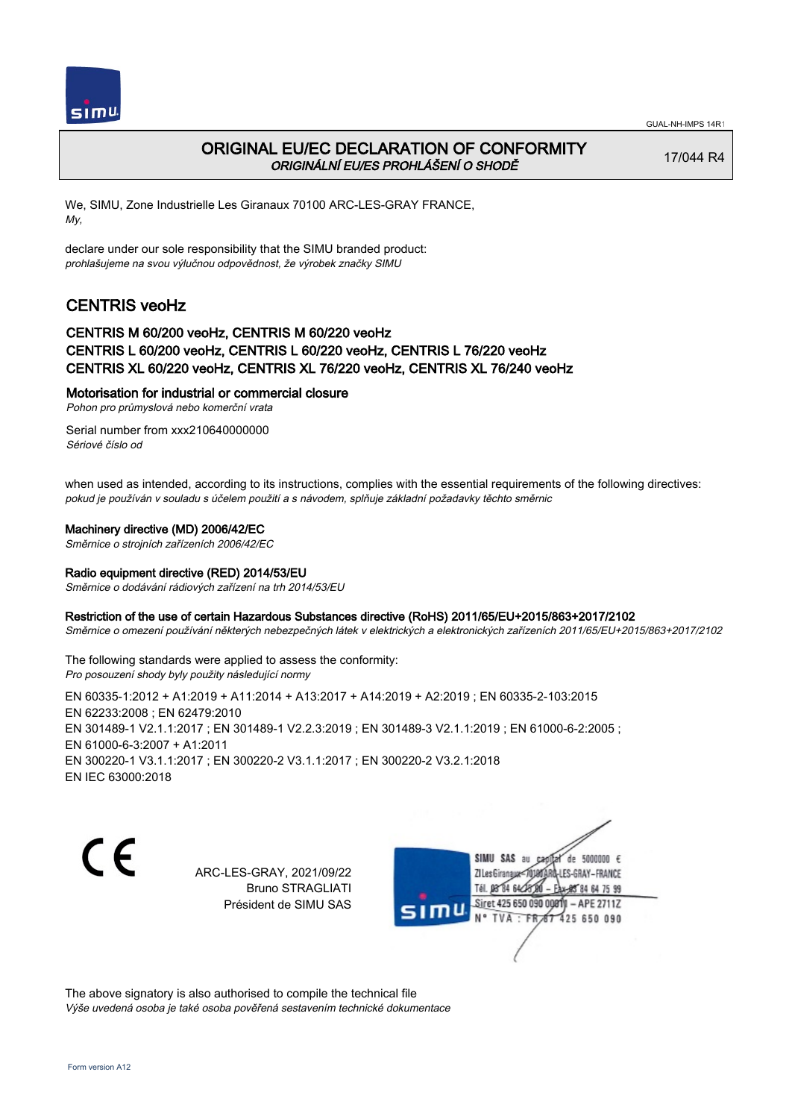

# ORIGINAL EU/EC DECLARATION OF CONFORMITY ORIGINÁLNÍ EU/ES PROHLÁŠENÍ O SHODĚ

17/044 R4

We, SIMU, Zone Industrielle Les Giranaux 70100 ARC-LES-GRAY FRANCE, My,

declare under our sole responsibility that the SIMU branded product: prohlašujeme na svou výlučnou odpovědnost, že výrobek značky SIMU

# CENTRIS veoHz

## CENTRIS M 60/200 veoHz, CENTRIS M 60/220 veoHz CENTRIS L 60/200 veoHz, CENTRIS L 60/220 veoHz, CENTRIS L 76/220 veoHz CENTRIS XL 60/220 veoHz, CENTRIS XL 76/220 veoHz, CENTRIS XL 76/240 veoHz

### Motorisation for industrial or commercial closure

Pohon pro průmyslová nebo komerční vrata

Serial number from xxx210640000000 Sériové číslo od

when used as intended, according to its instructions, complies with the essential requirements of the following directives: pokud je používán v souladu s účelem použití a s návodem, splňuje základní požadavky těchto směrnic

### Machinery directive (MD) 2006/42/EC

Směrnice o strojních zařízeních 2006/42/EC

### Radio equipment directive (RED) 2014/53/EU

Směrnice o dodávání rádiových zařízení na trh 2014/53/EU

### Restriction of the use of certain Hazardous Substances directive (RoHS) 2011/65/EU+2015/863+2017/2102

Směrnice o omezení používání některých nebezpečných látek v elektrických a elektronických zařízeních 2011/65/EU+2015/863+2017/2102

The following standards were applied to assess the conformity: Pro posouzení shody byly použity následující normy

EN 60335‑1:2012 + A1:2019 + A11:2014 + A13:2017 + A14:2019 + A2:2019 ; EN 60335‑2‑103:2015 EN 62233:2008 ; EN 62479:2010 EN 301489-1 V2.1.1:2017 ; EN 301489-1 V2.2.3:2019 ; EN 301489-3 V2.1.1:2019 ; EN 61000-6-2:2005 ; EN 61000‑6‑3:2007 + A1:2011 EN 300220‑1 V3.1.1:2017 ; EN 300220‑2 V3.1.1:2017 ; EN 300220‑2 V3.2.1:2018 EN IEC 63000:2018

( F

ARC-LES-GRAY, 2021/09/22 Bruno STRAGLIATI Président de SIMU SAS



The above signatory is also authorised to compile the technical file Výše uvedená osoba je také osoba pověřená sestavením technické dokumentace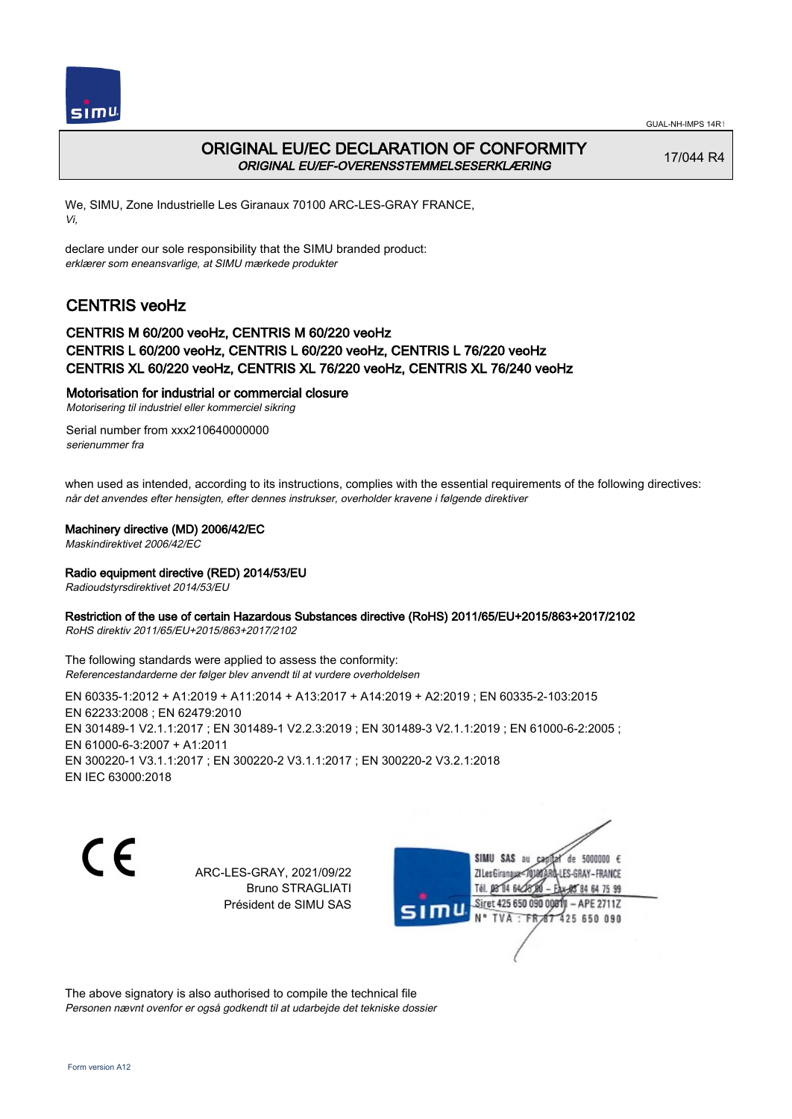



## ORIGINAL EU/EC DECLARATION OF CONFORMITY ORIGINAL EU/EF-OVERENSSTEMMELSESERKLÆRING

17/044 R4

We, SIMU, Zone Industrielle Les Giranaux 70100 ARC-LES-GRAY FRANCE, Vi,

declare under our sole responsibility that the SIMU branded product: erklærer som eneansvarlige, at SIMU mærkede produkter

# CENTRIS veoHz

### CENTRIS M 60/200 veoHz, CENTRIS M 60/220 veoHz CENTRIS L 60/200 veoHz, CENTRIS L 60/220 veoHz, CENTRIS L 76/220 veoHz CENTRIS XL 60/220 veoHz, CENTRIS XL 76/220 veoHz, CENTRIS XL 76/240 veoHz

### Motorisation for industrial or commercial closure

Motorisering til industriel eller kommerciel sikring

Serial number from xxx210640000000 serienummer fra

when used as intended, according to its instructions, complies with the essential requirements of the following directives: når det anvendes efter hensigten, efter dennes instrukser, overholder kravene i følgende direktiver

#### Machinery directive (MD) 2006/42/EC

Maskindirektivet 2006/42/EC

### Radio equipment directive (RED) 2014/53/EU

Radioudstyrsdirektivet 2014/53/EU

### Restriction of the use of certain Hazardous Substances directive (RoHS) 2011/65/EU+2015/863+2017/2102

RoHS direktiv 2011/65/EU+2015/863+2017/2102

The following standards were applied to assess the conformity: Referencestandarderne der følger blev anvendt til at vurdere overholdelsen

EN 60335‑1:2012 + A1:2019 + A11:2014 + A13:2017 + A14:2019 + A2:2019 ; EN 60335‑2‑103:2015 EN 62233:2008 ; EN 62479:2010 EN 301489-1 V2.1.1:2017 ; EN 301489-1 V2.2.3:2019 ; EN 301489-3 V2.1.1:2019 ; EN 61000-6-2:2005 ; EN 61000‑6‑3:2007 + A1:2011 EN 300220‑1 V3.1.1:2017 ; EN 300220‑2 V3.1.1:2017 ; EN 300220‑2 V3.2.1:2018 EN IEC 63000:2018

C E

ARC-LES-GRAY, 2021/09/22 Bruno STRAGLIATI Président de SIMU SAS

SIMU SAS au de 5000000  $\epsilon$ ZI Les Giranaux</DJ80AR -LES-GRAY-FRANCE Tél. 08 84 64 28 85 84 64 75 99 Siret 425 650 090 00811  $-$  APE 2711Z mu TVA: FR 67 425 650 090

The above signatory is also authorised to compile the technical file Personen nævnt ovenfor er også godkendt til at udarbejde det tekniske dossier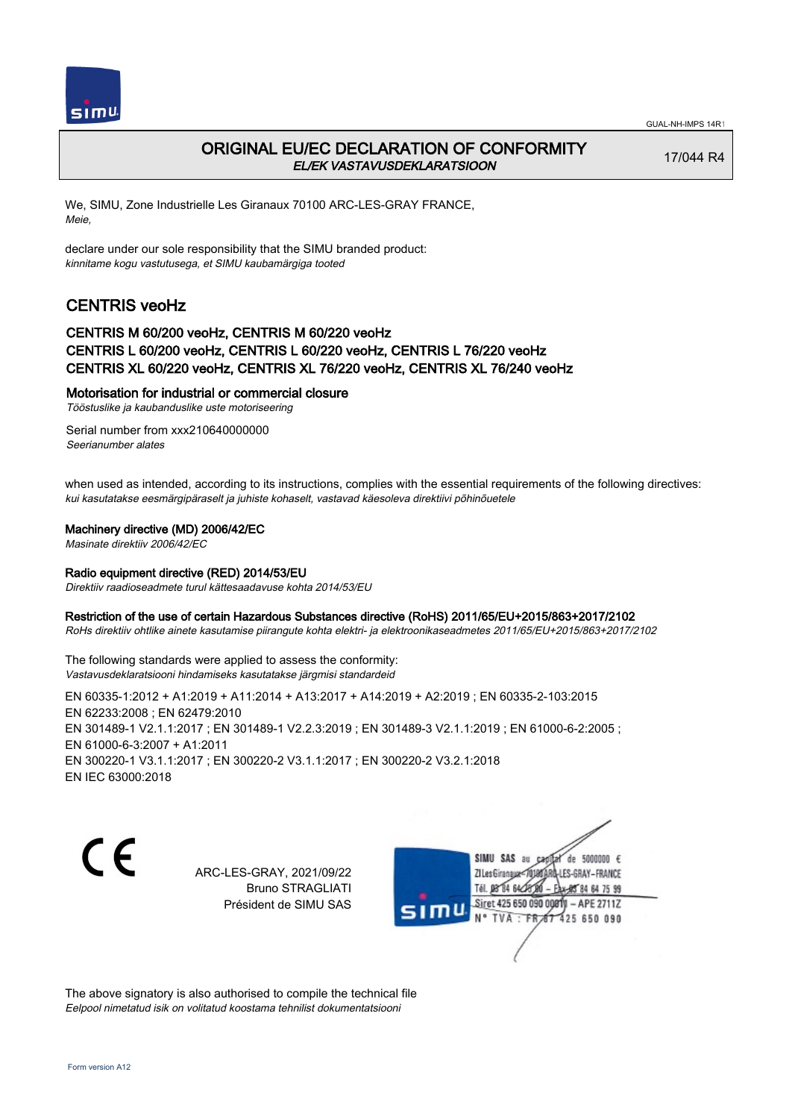

## ORIGINAL EU/EC DECLARATION OF CONFORMITY EL/EK VASTAVUSDEKLARATSIOON

17/044 R4

We, SIMU, Zone Industrielle Les Giranaux 70100 ARC-LES-GRAY FRANCE, Meie,

declare under our sole responsibility that the SIMU branded product: kinnitame kogu vastutusega, et SIMU kaubamärgiga tooted

# CENTRIS veoHz

### CENTRIS M 60/200 veoHz, CENTRIS M 60/220 veoHz CENTRIS L 60/200 veoHz, CENTRIS L 60/220 veoHz, CENTRIS L 76/220 veoHz CENTRIS XL 60/220 veoHz, CENTRIS XL 76/220 veoHz, CENTRIS XL 76/240 veoHz

### Motorisation for industrial or commercial closure

Tööstuslike ja kaubanduslike uste motoriseering

Serial number from xxx210640000000 Seerianumber alates

when used as intended, according to its instructions, complies with the essential requirements of the following directives: kui kasutatakse eesmärgipäraselt ja juhiste kohaselt, vastavad käesoleva direktiivi põhinõuetele

### Machinery directive (MD) 2006/42/EC

Masinate direktiiv 2006/42/EC

### Radio equipment directive (RED) 2014/53/EU

Direktiiv raadioseadmete turul kättesaadavuse kohta 2014/53/EU

### Restriction of the use of certain Hazardous Substances directive (RoHS) 2011/65/EU+2015/863+2017/2102

RoHs direktiiv ohtlike ainete kasutamise piirangute kohta elektri- ja elektroonikaseadmetes 2011/65/EU+2015/863+2017/2102

The following standards were applied to assess the conformity: Vastavusdeklaratsiooni hindamiseks kasutatakse järgmisi standardeid

EN 60335‑1:2012 + A1:2019 + A11:2014 + A13:2017 + A14:2019 + A2:2019 ; EN 60335‑2‑103:2015 EN 62233:2008 ; EN 62479:2010 EN 301489-1 V2.1.1:2017 ; EN 301489-1 V2.2.3:2019 ; EN 301489-3 V2.1.1:2019 ; EN 61000-6-2:2005 ; EN 61000‑6‑3:2007 + A1:2011 EN 300220‑1 V3.1.1:2017 ; EN 300220‑2 V3.1.1:2017 ; EN 300220‑2 V3.2.1:2018 EN IEC 63000:2018

( F

ARC-LES-GRAY, 2021/09/22 Bruno STRAGLIATI Président de SIMU SAS

SIMU SAS au de 5000000  $\epsilon$ ZI Les Giranaux</DJ80 -LES-GRAY-FRANCE Tél. 08 84 64 28 85 84 64 75 99 Siret 425 650 090 0081  $-$  APE 2711Z 425 650 090 TVA · FRAT

The above signatory is also authorised to compile the technical file Eelpool nimetatud isik on volitatud koostama tehnilist dokumentatsiooni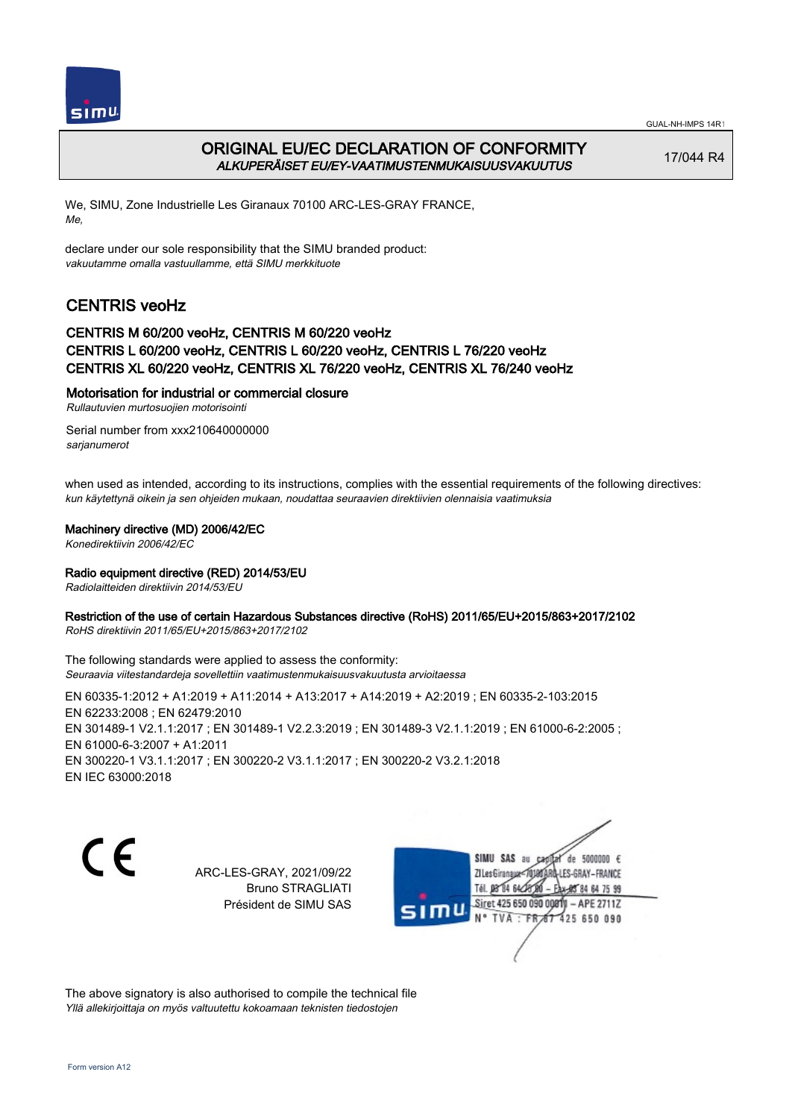



## ORIGINAL EU/EC DECLARATION OF CONFORMITY ALKUPERÄISET EU/EY-VAATIMUSTENMUKAISUUSVAKUUTUS

17/044 R4

We, SIMU, Zone Industrielle Les Giranaux 70100 ARC-LES-GRAY FRANCE, Me,

declare under our sole responsibility that the SIMU branded product: vakuutamme omalla vastuullamme, että SIMU merkkituote

# CENTRIS veoHz

### CENTRIS M 60/200 veoHz, CENTRIS M 60/220 veoHz CENTRIS L 60/200 veoHz, CENTRIS L 60/220 veoHz, CENTRIS L 76/220 veoHz CENTRIS XL 60/220 veoHz, CENTRIS XL 76/220 veoHz, CENTRIS XL 76/240 veoHz

### Motorisation for industrial or commercial closure

Rullautuvien murtosuojien motorisointi

Serial number from xxx210640000000 sarjanumerot

when used as intended, according to its instructions, complies with the essential requirements of the following directives: kun käytettynä oikein ja sen ohjeiden mukaan, noudattaa seuraavien direktiivien olennaisia vaatimuksia

### Machinery directive (MD) 2006/42/EC

Konedirektiivin 2006/42/EC

### Radio equipment directive (RED) 2014/53/EU

Radiolaitteiden direktiivin 2014/53/EU

### Restriction of the use of certain Hazardous Substances directive (RoHS) 2011/65/EU+2015/863+2017/2102

RoHS direktiivin 2011/65/EU+2015/863+2017/2102

The following standards were applied to assess the conformity: Seuraavia viitestandardeja sovellettiin vaatimustenmukaisuusvakuutusta arvioitaessa

EN 60335‑1:2012 + A1:2019 + A11:2014 + A13:2017 + A14:2019 + A2:2019 ; EN 60335‑2‑103:2015 EN 62233:2008 ; EN 62479:2010 EN 301489-1 V2.1.1:2017 ; EN 301489-1 V2.2.3:2019 ; EN 301489-3 V2.1.1:2019 ; EN 61000-6-2:2005 ; EN 61000‑6‑3:2007 + A1:2011 EN 300220‑1 V3.1.1:2017 ; EN 300220‑2 V3.1.1:2017 ; EN 300220‑2 V3.2.1:2018 EN IEC 63000:2018

C E

ARC-LES-GRAY, 2021/09/22 Bruno STRAGLIATI Président de SIMU SAS

SIMU SAS au de 5000000  $\epsilon$ ZI Les Giranaux</DJ80AF -LES-GRAY-FRANCE Tél. 08 84 64 28 85 84 64 75 99 Siret 425 650 090 00811  $-$  APE 2711Z mu 425 650 090 TVA FRAT

The above signatory is also authorised to compile the technical file Yllä allekirjoittaja on myös valtuutettu kokoamaan teknisten tiedostojen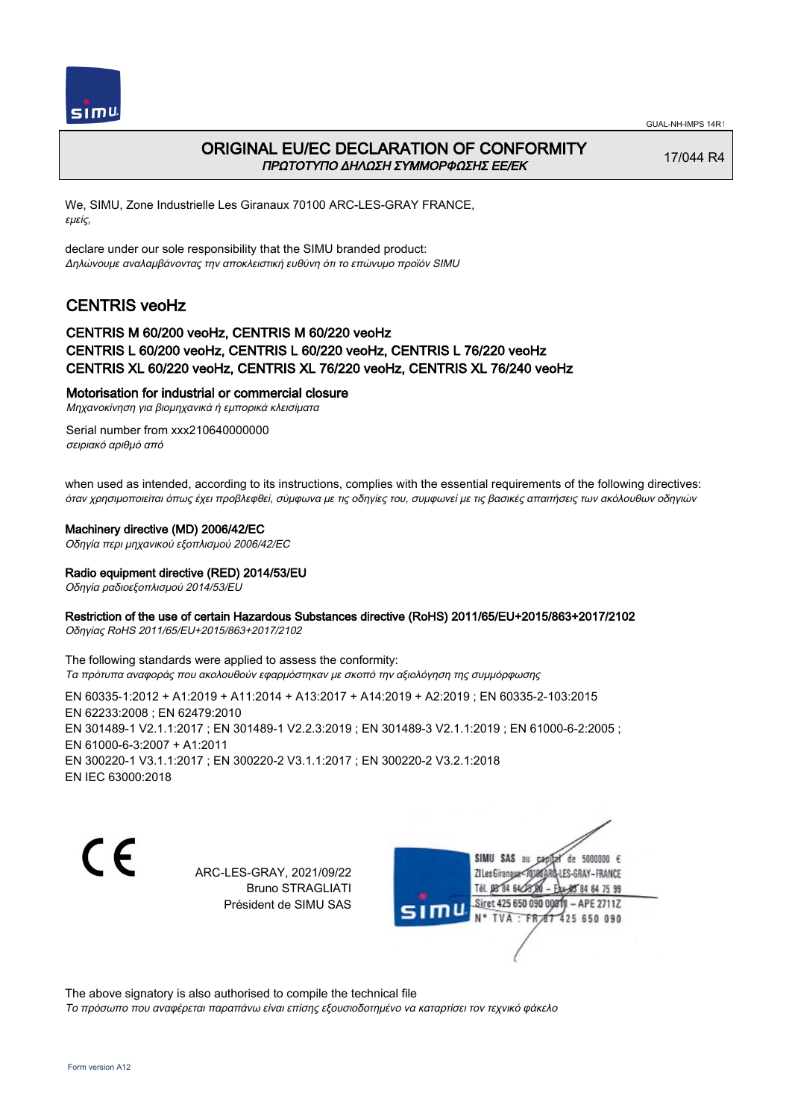



## ORIGINAL EU/EC DECLARATION OF CONFORMITY ΠΡΩΤΟΤΥΠΟ ΔΗΛΩΣΗ ΣΥΜΜΟΡΦΩΣΗΣ ΕΕ/EK

17/044 R4

We, SIMU, Zone Industrielle Les Giranaux 70100 ARC-LES-GRAY FRANCE, εμείς,

declare under our sole responsibility that the SIMU branded product: Δηλώνουμε αναλαμβάνοντας την αποκλειστική ευθύνη ότι το επώνυμο προϊόν SIMU

# CENTRIS veoHz

### CENTRIS M 60/200 veoHz, CENTRIS M 60/220 veoHz CENTRIS L 60/200 veoHz, CENTRIS L 60/220 veoHz, CENTRIS L 76/220 veoHz CENTRIS XL 60/220 veoHz, CENTRIS XL 76/220 veoHz, CENTRIS XL 76/240 veoHz

### Motorisation for industrial or commercial closure

Μηχανοκίνηση για βιομηχανικά ή εμπορικά κλεισίματα

Serial number from xxx210640000000 σειριακό αριθμό από

when used as intended, according to its instructions, complies with the essential requirements of the following directives: όταν χρησιμοποιείται όπως έχει προβλεφθεί, σύμφωνα με τις οδηγίες του, συμφωνεί με τις βασικές απαιτήσεις των ακόλουθων οδηγιών

### Machinery directive (MD) 2006/42/EC

Οδηγία περι μηχανικού εξοπλισμού 2006/42/EC

### Radio equipment directive (RED) 2014/53/EU

Οδηγία ραδιοεξοπλισμού 2014/53/EU

### Restriction of the use of certain Hazardous Substances directive (RoHS) 2011/65/EU+2015/863+2017/2102

Οδηγίας RoHS 2011/65/EU+2015/863+2017/2102

The following standards were applied to assess the conformity: Τα πρότυπα αναφοράς που ακολουθούν εφαρμόστηκαν με σκοπό την αξιολόγηση της συμμόρφωσης

EN 60335‑1:2012 + A1:2019 + A11:2014 + A13:2017 + A14:2019 + A2:2019 ; EN 60335‑2‑103:2015 EN 62233:2008 ; EN 62479:2010 EN 301489‑1 V2.1.1:2017 ; EN 301489‑1 V2.2.3:2019 ; EN 301489‑3 V2.1.1:2019 ; EN 61000‑6‑2:2005 ; EN 61000‑6‑3:2007 + A1:2011 EN 300220‑1 V3.1.1:2017 ; EN 300220‑2 V3.1.1:2017 ; EN 300220‑2 V3.2.1:2018 EN IEC 63000:2018

C F

ARC-LES-GRAY, 2021/09/22 Bruno STRAGLIATI Président de SIMU SAS

SIMU SAS au  $\cosh 4$  de 5000000  $\epsilon$ ZI Les Giranaux</DJ80AR LES-GRAY-FRANCE Tél. 08 84 64 28 80 85 84 64 75 99 Siret 425 650 090 0081  $-$  APE 2711Z TVA: FR 67 425 650 090

The above signatory is also authorised to compile the technical file

Το πρόσωπο που αναφέρεται παραπάνω είναι επίσης εξουσιοδοτημένο να καταρτίσει τον τεχνικό φάκελο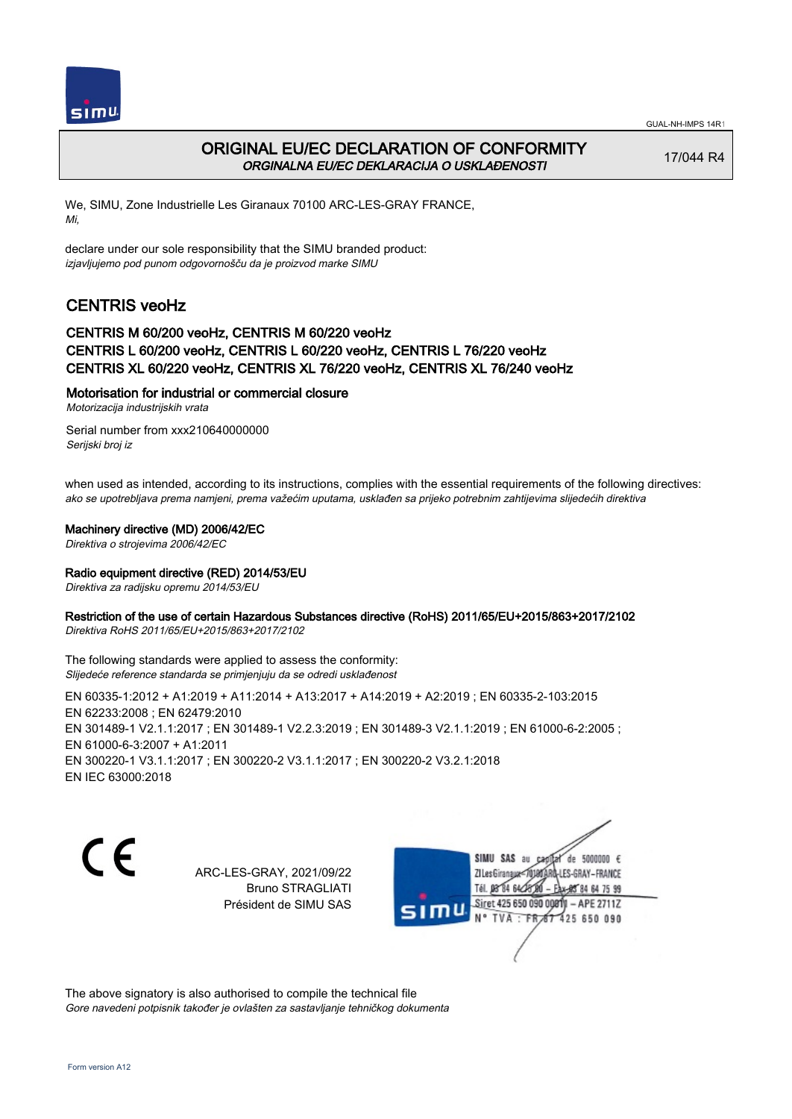



# ORIGINAL EU/EC DECLARATION OF CONFORMITY ORGINALNA EU/EC DEKLARACIJA O USKLAĐENOSTI

17/044 R4

We, SIMU, Zone Industrielle Les Giranaux 70100 ARC-LES-GRAY FRANCE, Mi,

declare under our sole responsibility that the SIMU branded product: izjavljujemo pod punom odgovornošču da je proizvod marke SIMU

# CENTRIS veoHz

## CENTRIS M 60/200 veoHz, CENTRIS M 60/220 veoHz CENTRIS L 60/200 veoHz, CENTRIS L 60/220 veoHz, CENTRIS L 76/220 veoHz CENTRIS XL 60/220 veoHz, CENTRIS XL 76/220 veoHz, CENTRIS XL 76/240 veoHz

### Motorisation for industrial or commercial closure

Motorizacija industrijskih vrata

Serial number from xxx210640000000 Serijski broj iz

when used as intended, according to its instructions, complies with the essential requirements of the following directives: ako se upotrebljava prema namjeni, prema važećim uputama, usklađen sa prijeko potrebnim zahtijevima slijedećih direktiva

#### Machinery directive (MD) 2006/42/EC

Direktiva o strojevima 2006/42/EC

### Radio equipment directive (RED) 2014/53/EU

Direktiva za radijsku opremu 2014/53/EU

### Restriction of the use of certain Hazardous Substances directive (RoHS) 2011/65/EU+2015/863+2017/2102

Direktiva RoHS 2011/65/EU+2015/863+2017/2102

The following standards were applied to assess the conformity: Slijedeće reference standarda se primjenjuju da se odredi usklađenost

EN 60335‑1:2012 + A1:2019 + A11:2014 + A13:2017 + A14:2019 + A2:2019 ; EN 60335‑2‑103:2015 EN 62233:2008 ; EN 62479:2010 EN 301489-1 V2.1.1:2017 ; EN 301489-1 V2.2.3:2019 ; EN 301489-3 V2.1.1:2019 ; EN 61000-6-2:2005 ; EN 61000‑6‑3:2007 + A1:2011 EN 300220‑1 V3.1.1:2017 ; EN 300220‑2 V3.1.1:2017 ; EN 300220‑2 V3.2.1:2018 EN IEC 63000:2018

C E

ARC-LES-GRAY, 2021/09/22 Bruno STRAGLIATI Président de SIMU SAS

SIMU SAS au de 5000000  $\epsilon$ ZI Les Giranaux</DJ80AR -LES-GRAY-FRANCE Tél. 08 84 64 28 85 84 64 75 99 Siret 425 650 090 0081  $-$  APE 2711Z 425 650 090 TVA · FRAT

The above signatory is also authorised to compile the technical file Gore navedeni potpisnik također je ovlašten za sastavljanje tehničkog dokumenta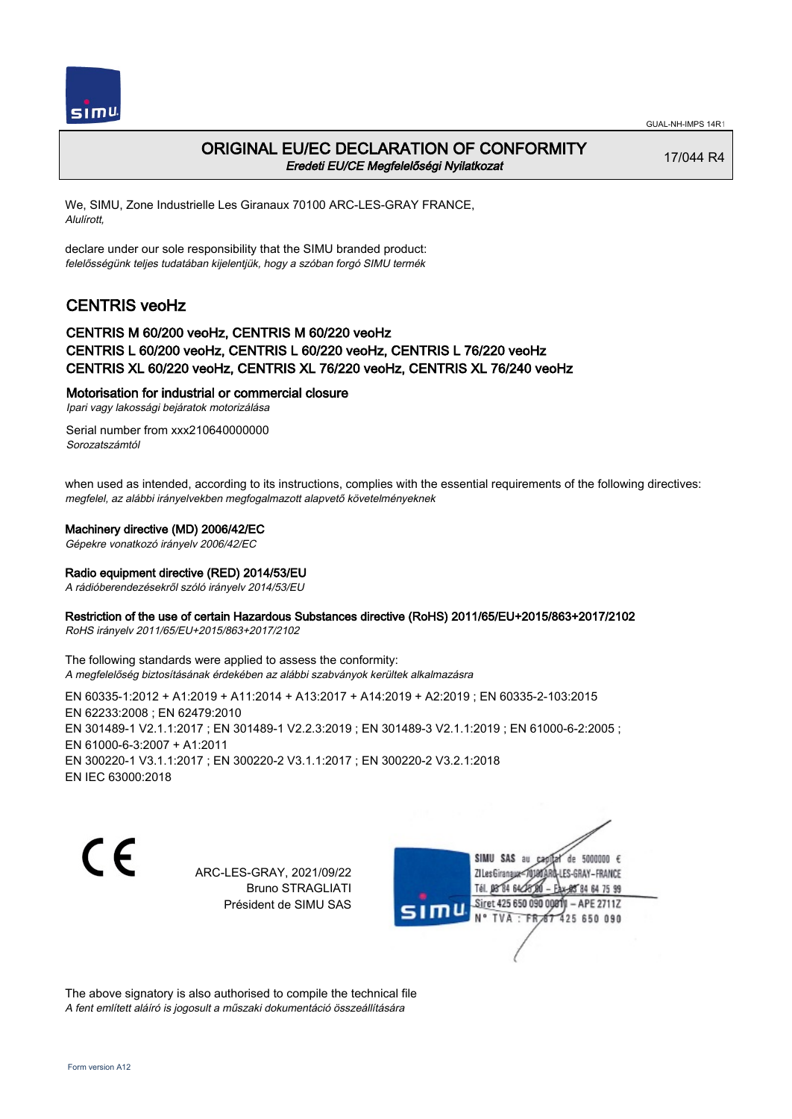

## ORIGINAL EU/EC DECLARATION OF CONFORMITY Eredeti EU/CE Megfelelőségi Nyilatkozat

17/044 R4

We, SIMU, Zone Industrielle Les Giranaux 70100 ARC-LES-GRAY FRANCE, Alulírott,

declare under our sole responsibility that the SIMU branded product: felelősségünk teljes tudatában kijelentjük, hogy a szóban forgó SIMU termék

# CENTRIS veoHz

## CENTRIS M 60/200 veoHz, CENTRIS M 60/220 veoHz CENTRIS L 60/200 veoHz, CENTRIS L 60/220 veoHz, CENTRIS L 76/220 veoHz CENTRIS XL 60/220 veoHz, CENTRIS XL 76/220 veoHz, CENTRIS XL 76/240 veoHz

### Motorisation for industrial or commercial closure

Ipari vagy lakossági bejáratok motorizálása

Serial number from xxx210640000000 Sorozatszámtól

when used as intended, according to its instructions, complies with the essential requirements of the following directives: megfelel, az alábbi irányelvekben megfogalmazott alapvető követelményeknek

### Machinery directive (MD) 2006/42/EC

Gépekre vonatkozó irányelv 2006/42/EC

### Radio equipment directive (RED) 2014/53/EU

A rádióberendezésekről szóló irányelv 2014/53/EU

### Restriction of the use of certain Hazardous Substances directive (RoHS) 2011/65/EU+2015/863+2017/2102

RoHS irányelv 2011/65/EU+2015/863+2017/2102

The following standards were applied to assess the conformity: A megfelelőség biztosításának érdekében az alábbi szabványok kerültek alkalmazásra

EN 60335‑1:2012 + A1:2019 + A11:2014 + A13:2017 + A14:2019 + A2:2019 ; EN 60335‑2‑103:2015 EN 62233:2008 ; EN 62479:2010 EN 301489-1 V2.1.1:2017 ; EN 301489-1 V2.2.3:2019 ; EN 301489-3 V2.1.1:2019 ; EN 61000-6-2:2005 ; EN 61000‑6‑3:2007 + A1:2011 EN 300220‑1 V3.1.1:2017 ; EN 300220‑2 V3.1.1:2017 ; EN 300220‑2 V3.2.1:2018 EN IEC 63000:2018

C E

ARC-LES-GRAY, 2021/09/22 Bruno STRAGLIATI Président de SIMU SAS

SIMU SAS au de 5000000  $\epsilon$ ZI Les Giranaux</DJ80AF -LES-GRAY-FRANCE Tél. 08 84 64 28 85 84 64 75 99 Siret 425 650 090 0081  $-$  APE 2711Z 425 650 090 TVA · FRAT

The above signatory is also authorised to compile the technical file A fent említett aláíró is jogosult a műszaki dokumentáció összeállítására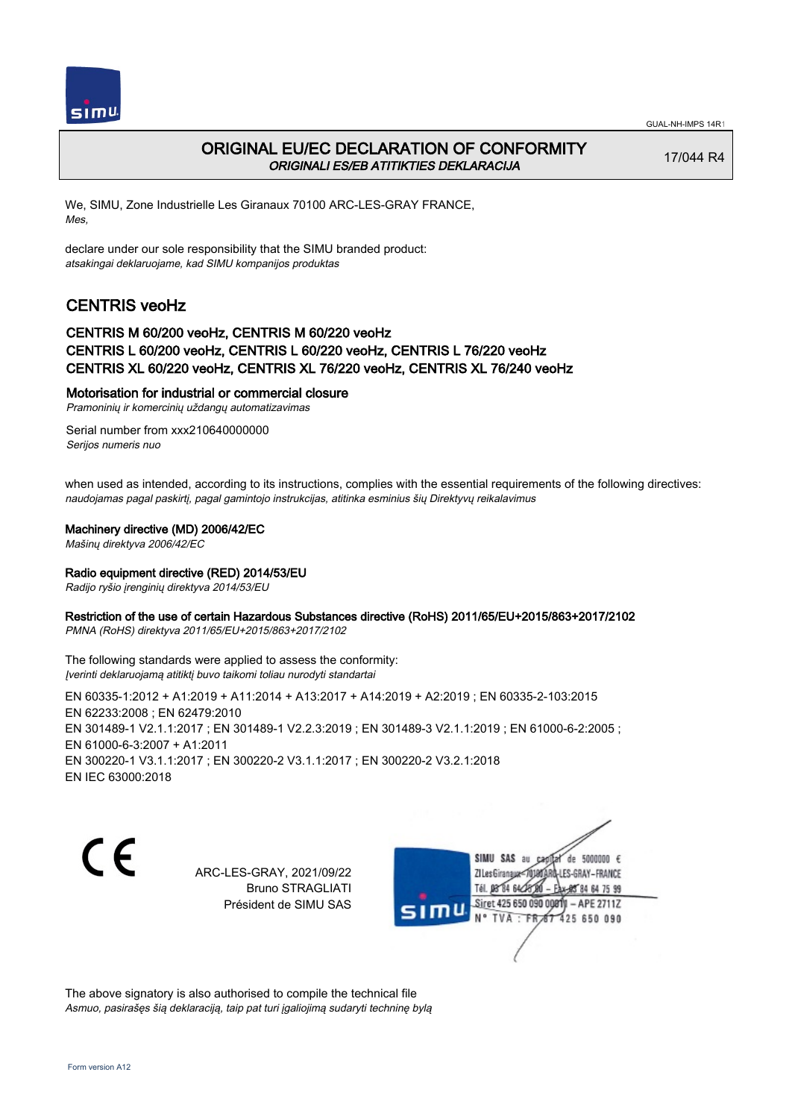



## ORIGINAL EU/EC DECLARATION OF CONFORMITY ORIGINALI ES/EB ATITIKTIES DEKLARACIJA

17/044 R4

We, SIMU, Zone Industrielle Les Giranaux 70100 ARC-LES-GRAY FRANCE, Mes,

declare under our sole responsibility that the SIMU branded product: atsakingai deklaruojame, kad SIMU kompanijos produktas

# CENTRIS veoHz

### CENTRIS M 60/200 veoHz, CENTRIS M 60/220 veoHz CENTRIS L 60/200 veoHz, CENTRIS L 60/220 veoHz, CENTRIS L 76/220 veoHz CENTRIS XL 60/220 veoHz, CENTRIS XL 76/220 veoHz, CENTRIS XL 76/240 veoHz

### Motorisation for industrial or commercial closure

Pramoninių ir komercinių uždangų automatizavimas

Serial number from xxx210640000000 Serijos numeris nuo

when used as intended, according to its instructions, complies with the essential requirements of the following directives: naudojamas pagal paskirtį, pagal gamintojo instrukcijas, atitinka esminius šių Direktyvų reikalavimus

### Machinery directive (MD) 2006/42/EC

Mašinų direktyva 2006/42/EC

### Radio equipment directive (RED) 2014/53/EU

Radijo ryšio įrenginių direktyva 2014/53/EU

### Restriction of the use of certain Hazardous Substances directive (RoHS) 2011/65/EU+2015/863+2017/2102

PMNA (RoHS) direktyva 2011/65/EU+2015/863+2017/2102

The following standards were applied to assess the conformity: Įverinti deklaruojamą atitiktį buvo taikomi toliau nurodyti standartai

EN 60335‑1:2012 + A1:2019 + A11:2014 + A13:2017 + A14:2019 + A2:2019 ; EN 60335‑2‑103:2015 EN 62233:2008 ; EN 62479:2010 EN 301489-1 V2.1.1:2017 ; EN 301489-1 V2.2.3:2019 ; EN 301489-3 V2.1.1:2019 ; EN 61000-6-2:2005 ; EN 61000‑6‑3:2007 + A1:2011 EN 300220‑1 V3.1.1:2017 ; EN 300220‑2 V3.1.1:2017 ; EN 300220‑2 V3.2.1:2018 EN IEC 63000:2018

C E

ARC-LES-GRAY, 2021/09/22 Bruno STRAGLIATI Président de SIMU SAS

SIMU SAS au de 5000000  $\epsilon$ capital ZI Les Giranaux</DJ80AR LES-GRAY-FRANCE Tél. 08 84 64 28 48 84 64 75 99 Siret 425 650 090 00811  $-$  APE 2711Z mu TVA: FR 67 425 650 090

The above signatory is also authorised to compile the technical file Asmuo, pasirašęs šią deklaraciją, taip pat turi įgaliojimą sudaryti techninę bylą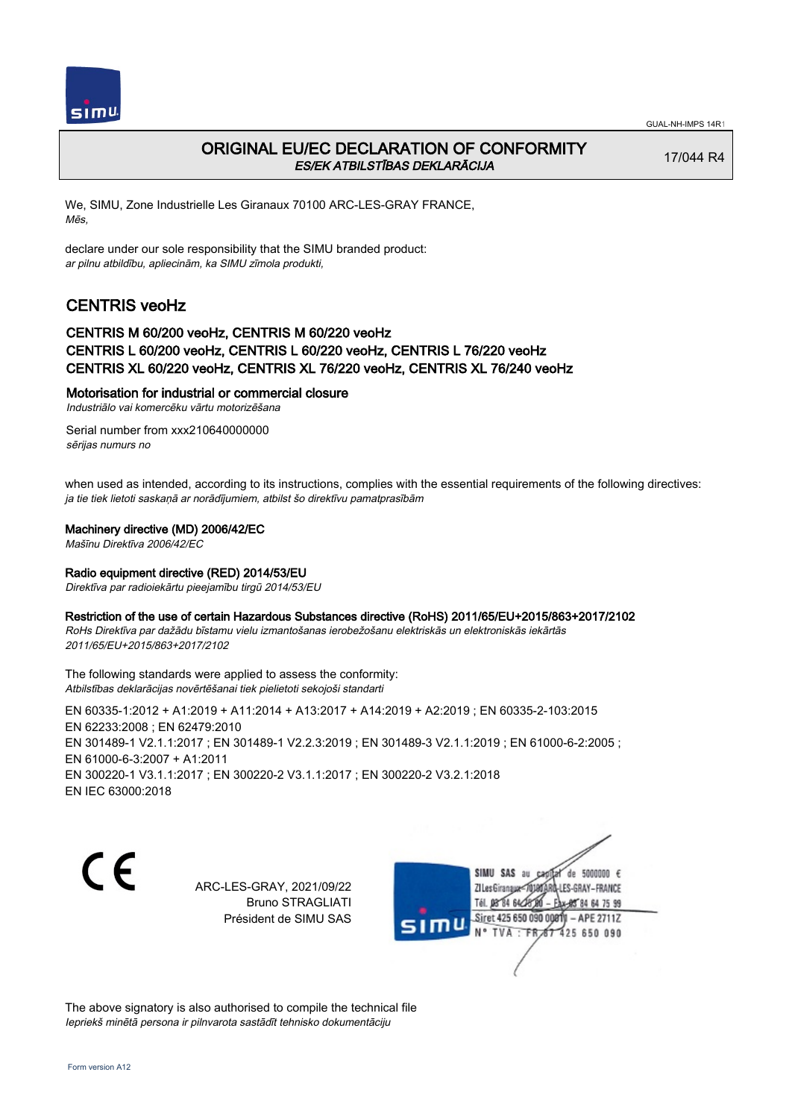

# ORIGINAL EU/EC DECLARATION OF CONFORMITY ES/EK ATBILSTĪBAS DEKLARĀCIJA

17/044 R4

We, SIMU, Zone Industrielle Les Giranaux 70100 ARC-LES-GRAY FRANCE, Mēs,

declare under our sole responsibility that the SIMU branded product: ar pilnu atbildību, apliecinām, ka SIMU zīmola produkti,

# CENTRIS veoHz

### CENTRIS M 60/200 veoHz, CENTRIS M 60/220 veoHz CENTRIS L 60/200 veoHz, CENTRIS L 60/220 veoHz, CENTRIS L 76/220 veoHz CENTRIS XL 60/220 veoHz, CENTRIS XL 76/220 veoHz, CENTRIS XL 76/240 veoHz

### Motorisation for industrial or commercial closure

Industriālo vai komercēku vārtu motorizēšana

Serial number from xxx210640000000 sērijas numurs no

when used as intended, according to its instructions, complies with the essential requirements of the following directives: ja tie tiek lietoti saskaņā ar norādījumiem, atbilst šo direktīvu pamatprasībām

### Machinery directive (MD) 2006/42/EC

Mašīnu Direktīva 2006/42/EC

### Radio equipment directive (RED) 2014/53/EU

Direktīva par radioiekārtu pieejamību tirgū 2014/53/EU

#### Restriction of the use of certain Hazardous Substances directive (RoHS) 2011/65/EU+2015/863+2017/2102

RoHs Direktīva par dažādu bīstamu vielu izmantošanas ierobežošanu elektriskās un elektroniskās iekārtās 2011/65/EU+2015/863+2017/2102

The following standards were applied to assess the conformity: Atbilstības deklarācijas novērtēšanai tiek pielietoti sekojoši standarti

EN 60335‑1:2012 + A1:2019 + A11:2014 + A13:2017 + A14:2019 + A2:2019 ; EN 60335‑2‑103:2015 EN 62233:2008 ; EN 62479:2010 EN 301489-1 V2.1.1:2017 ; EN 301489-1 V2.2.3:2019 ; EN 301489-3 V2.1.1:2019 ; EN 61000-6-2:2005 ; EN 61000‑6‑3:2007 + A1:2011 EN 300220‑1 V3.1.1:2017 ; EN 300220‑2 V3.1.1:2017 ; EN 300220‑2 V3.2.1:2018 EN IEC 63000:2018

 $\epsilon$ 

ARC-LES-GRAY, 2021/09/22 Bruno STRAGLIATI Président de SIMU SAS



The above signatory is also authorised to compile the technical file Iepriekš minētā persona ir pilnvarota sastādīt tehnisko dokumentāciju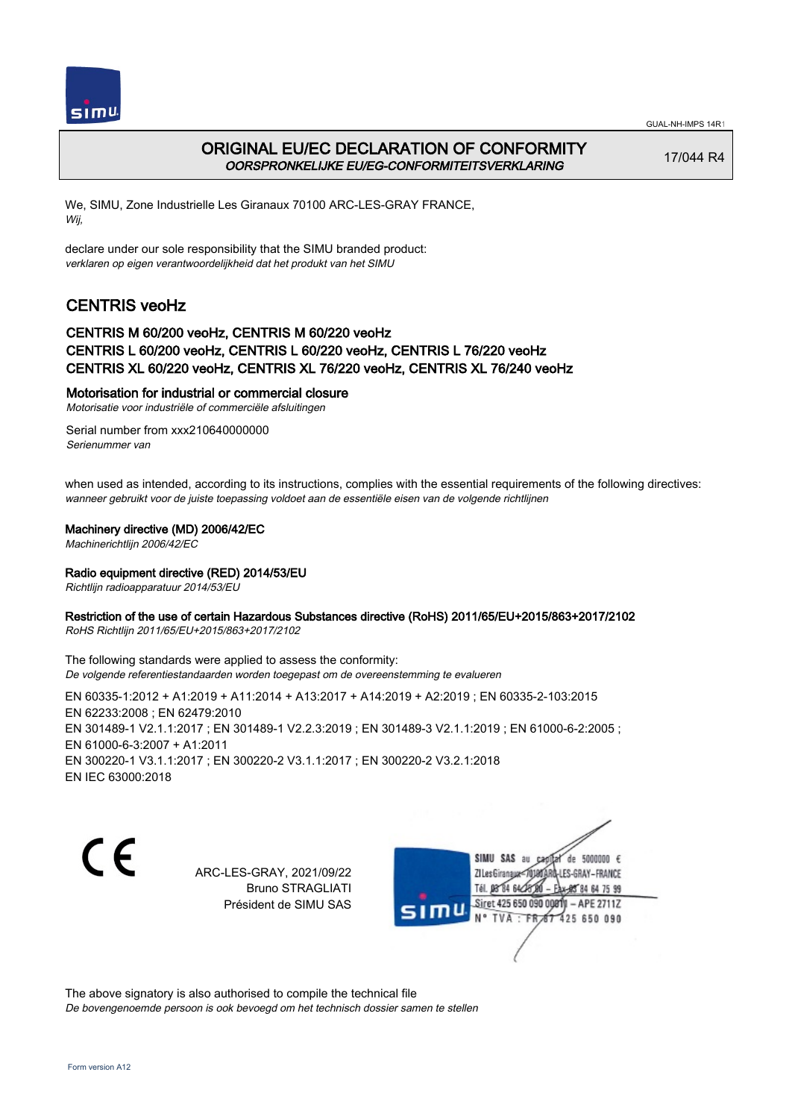



## ORIGINAL EU/EC DECLARATION OF CONFORMITY OORSPRONKELIJKE EU/EG-CONFORMITEITSVERKLARING

17/044 R4

We, SIMU, Zone Industrielle Les Giranaux 70100 ARC-LES-GRAY FRANCE, Wij,

declare under our sole responsibility that the SIMU branded product: verklaren op eigen verantwoordelijkheid dat het produkt van het SIMU

# CENTRIS veoHz

### CENTRIS M 60/200 veoHz, CENTRIS M 60/220 veoHz CENTRIS L 60/200 veoHz, CENTRIS L 60/220 veoHz, CENTRIS L 76/220 veoHz CENTRIS XL 60/220 veoHz, CENTRIS XL 76/220 veoHz, CENTRIS XL 76/240 veoHz

### Motorisation for industrial or commercial closure

Motorisatie voor industriële of commerciële afsluitingen

Serial number from xxx210640000000 Serienummer van

when used as intended, according to its instructions, complies with the essential requirements of the following directives: wanneer gebruikt voor de juiste toepassing voldoet aan de essentiële eisen van de volgende richtlijnen

### Machinery directive (MD) 2006/42/EC

Machinerichtlijn 2006/42/EC

### Radio equipment directive (RED) 2014/53/EU

Richtlijn radioapparatuur 2014/53/EU

### Restriction of the use of certain Hazardous Substances directive (RoHS) 2011/65/EU+2015/863+2017/2102

RoHS Richtlijn 2011/65/EU+2015/863+2017/2102

The following standards were applied to assess the conformity: De volgende referentiestandaarden worden toegepast om de overeenstemming te evalueren

EN 60335‑1:2012 + A1:2019 + A11:2014 + A13:2017 + A14:2019 + A2:2019 ; EN 60335‑2‑103:2015 EN 62233:2008 ; EN 62479:2010 EN 301489-1 V2.1.1:2017 ; EN 301489-1 V2.2.3:2019 ; EN 301489-3 V2.1.1:2019 ; EN 61000-6-2:2005 ; EN 61000‑6‑3:2007 + A1:2011 EN 300220‑1 V3.1.1:2017 ; EN 300220‑2 V3.1.1:2017 ; EN 300220‑2 V3.2.1:2018 EN IEC 63000:2018

C E

ARC-LES-GRAY, 2021/09/22 Bruno STRAGLIATI Président de SIMU SAS

SIMU SAS au de 5000000  $\epsilon$ ZI Les Giranaux</br/>701807 -LES-GRAY-FRANCE Tél. 08 84 64 28 85 84 64 75 99 Siret 425 650 090 0081  $-$  APE 2711Z TVA · FRAT 425 650 090

The above signatory is also authorised to compile the technical file De bovengenoemde persoon is ook bevoegd om het technisch dossier samen te stellen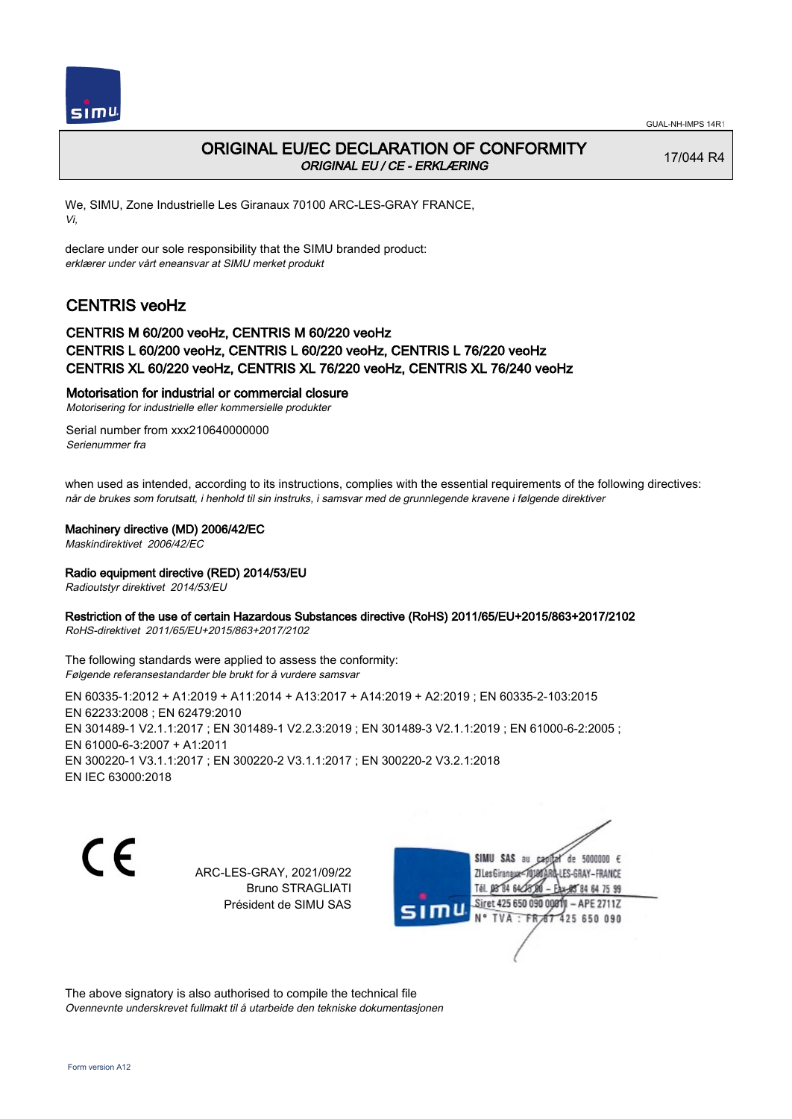

# ORIGINAL EU/EC DECLARATION OF CONFORMITY ORIGINAL EU / CE - ERKLÆRING

17/044 R4

We, SIMU, Zone Industrielle Les Giranaux 70100 ARC-LES-GRAY FRANCE, Vi,

declare under our sole responsibility that the SIMU branded product: erklærer under vårt eneansvar at SIMU merket produkt

# CENTRIS veoHz

## CENTRIS M 60/200 veoHz, CENTRIS M 60/220 veoHz CENTRIS L 60/200 veoHz, CENTRIS L 60/220 veoHz, CENTRIS L 76/220 veoHz CENTRIS XL 60/220 veoHz, CENTRIS XL 76/220 veoHz, CENTRIS XL 76/240 veoHz

### Motorisation for industrial or commercial closure

Motorisering for industrielle eller kommersielle produkter

Serial number from xxx210640000000 Serienummer fra

when used as intended, according to its instructions, complies with the essential requirements of the following directives: når de brukes som forutsatt, i henhold til sin instruks, i samsvar med de grunnlegende kravene i følgende direktiver

### Machinery directive (MD) 2006/42/EC

Maskindirektivet 2006/42/EC

### Radio equipment directive (RED) 2014/53/EU

Radioutstyr direktivet 2014/53/EU

### Restriction of the use of certain Hazardous Substances directive (RoHS) 2011/65/EU+2015/863+2017/2102

RoHS-direktivet 2011/65/EU+2015/863+2017/2102

The following standards were applied to assess the conformity: Følgende referansestandarder ble brukt for å vurdere samsvar

EN 60335‑1:2012 + A1:2019 + A11:2014 + A13:2017 + A14:2019 + A2:2019 ; EN 60335‑2‑103:2015 EN 62233:2008 ; EN 62479:2010 EN 301489-1 V2.1.1:2017 ; EN 301489-1 V2.2.3:2019 ; EN 301489-3 V2.1.1:2019 ; EN 61000-6-2:2005 ; EN 61000‑6‑3:2007 + A1:2011 EN 300220‑1 V3.1.1:2017 ; EN 300220‑2 V3.1.1:2017 ; EN 300220‑2 V3.2.1:2018 EN IEC 63000:2018

C E

ARC-LES-GRAY, 2021/09/22 Bruno STRAGLIATI Président de SIMU SAS

SIMU SAS au de 5000000  $\epsilon$ ZI Les Giranaux</DJ80AR -LES-GRAY-FRANCE Tél. 08 84 64 28 85 84 64 75 99 Siret 425 650 090 00811  $-$  APE 2711Z mu 425 650 090 TVA · FRAT

The above signatory is also authorised to compile the technical file Ovennevnte underskrevet fullmakt til å utarbeide den tekniske dokumentasjonen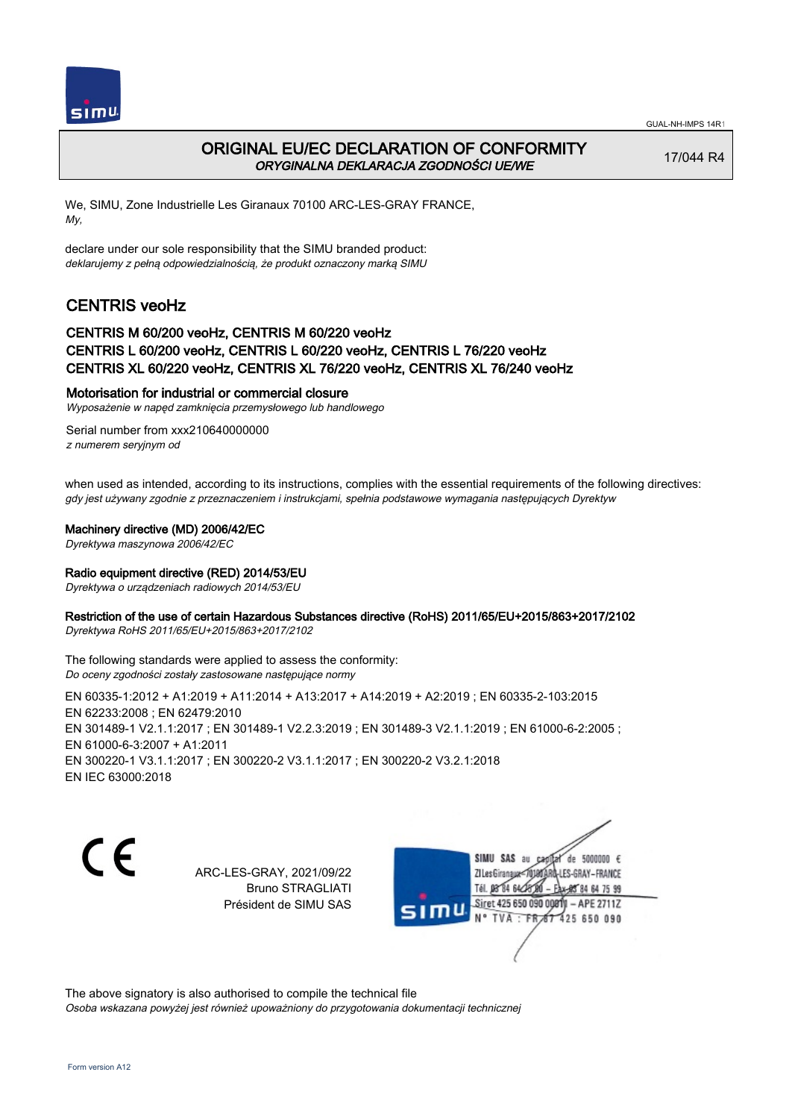



## ORIGINAL EU/EC DECLARATION OF CONFORMITY ORYGINALNA DEKLARACJA ZGODNOŚCI UE/WE

17/044 R4

We, SIMU, Zone Industrielle Les Giranaux 70100 ARC-LES-GRAY FRANCE, My,

declare under our sole responsibility that the SIMU branded product: deklarujemy z pełną odpowiedzialnością, że produkt oznaczony marką SIMU

# CENTRIS veoHz

### CENTRIS M 60/200 veoHz, CENTRIS M 60/220 veoHz CENTRIS L 60/200 veoHz, CENTRIS L 60/220 veoHz, CENTRIS L 76/220 veoHz CENTRIS XL 60/220 veoHz, CENTRIS XL 76/220 veoHz, CENTRIS XL 76/240 veoHz

### Motorisation for industrial or commercial closure

Wyposażenie w napęd zamknięcia przemysłowego lub handlowego

Serial number from xxx210640000000 z numerem seryjnym od

when used as intended, according to its instructions, complies with the essential requirements of the following directives: gdy jest używany zgodnie z przeznaczeniem i instrukcjami, spełnia podstawowe wymagania następujących Dyrektyw

### Machinery directive (MD) 2006/42/EC

Dyrektywa maszynowa 2006/42/EC

### Radio equipment directive (RED) 2014/53/EU

Dyrektywa o urządzeniach radiowych 2014/53/EU

### Restriction of the use of certain Hazardous Substances directive (RoHS) 2011/65/EU+2015/863+2017/2102

Dyrektywa RoHS 2011/65/EU+2015/863+2017/2102

The following standards were applied to assess the conformity: Do oceny zgodności zostały zastosowane następujące normy

EN 60335‑1:2012 + A1:2019 + A11:2014 + A13:2017 + A14:2019 + A2:2019 ; EN 60335‑2‑103:2015 EN 62233:2008 ; EN 62479:2010 EN 301489-1 V2.1.1:2017 ; EN 301489-1 V2.2.3:2019 ; EN 301489-3 V2.1.1:2019 ; EN 61000-6-2:2005 ; EN 61000‑6‑3:2007 + A1:2011 EN 300220‑1 V3.1.1:2017 ; EN 300220‑2 V3.1.1:2017 ; EN 300220‑2 V3.2.1:2018 EN IEC 63000:2018

C E

ARC-LES-GRAY, 2021/09/22 Bruno STRAGLIATI Président de SIMU SAS

SIMU SAS au de 5000000  $\epsilon$ capital ZI Les Giranaux</DJ80AR -LES-GRAY-FRANCE Tél. 08 84 64 28 85 84 64 75 99 Siret 425 650 090 0081  $-$  APE 2711Z 'nЦ TVA: FR 67 425 650 090

The above signatory is also authorised to compile the technical file Osoba wskazana powyżej jest również upoważniony do przygotowania dokumentacji technicznej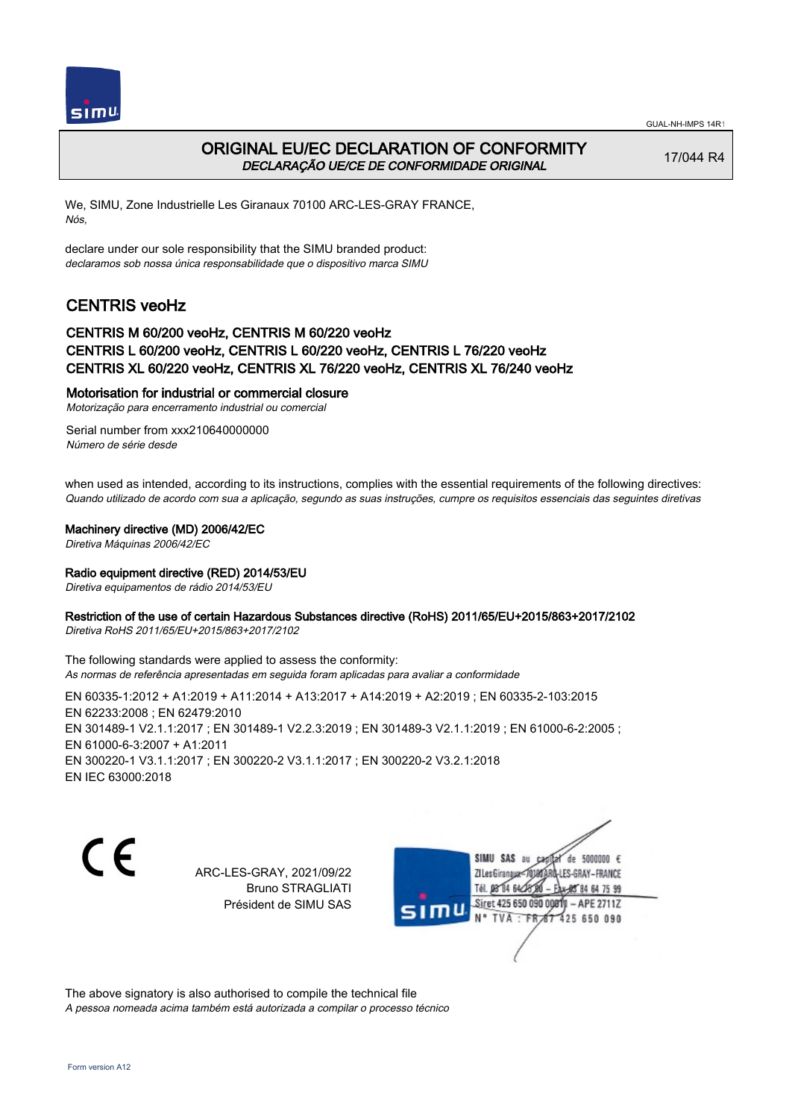



## ORIGINAL EU/EC DECLARATION OF CONFORMITY DECLARAÇÃO UE/CE DE CONFORMIDADE ORIGINAL

17/044 R4

We, SIMU, Zone Industrielle Les Giranaux 70100 ARC-LES-GRAY FRANCE, Nós,

declare under our sole responsibility that the SIMU branded product: declaramos sob nossa única responsabilidade que o dispositivo marca SIMU

# CENTRIS veoHz

### CENTRIS M 60/200 veoHz, CENTRIS M 60/220 veoHz CENTRIS L 60/200 veoHz, CENTRIS L 60/220 veoHz, CENTRIS L 76/220 veoHz CENTRIS XL 60/220 veoHz, CENTRIS XL 76/220 veoHz, CENTRIS XL 76/240 veoHz

### Motorisation for industrial or commercial closure

Motorização para encerramento industrial ou comercial

Serial number from xxx210640000000 Número de série desde

when used as intended, according to its instructions, complies with the essential requirements of the following directives: Quando utilizado de acordo com sua a aplicação, segundo as suas instruções, cumpre os requisitos essenciais das seguintes diretivas

#### Machinery directive (MD) 2006/42/EC

Diretiva Máquinas 2006/42/EC

### Radio equipment directive (RED) 2014/53/EU

Diretiva equipamentos de rádio 2014/53/EU

### Restriction of the use of certain Hazardous Substances directive (RoHS) 2011/65/EU+2015/863+2017/2102

Diretiva RoHS 2011/65/EU+2015/863+2017/2102

The following standards were applied to assess the conformity: As normas de referência apresentadas em seguida foram aplicadas para avaliar a conformidade

EN 60335‑1:2012 + A1:2019 + A11:2014 + A13:2017 + A14:2019 + A2:2019 ; EN 60335‑2‑103:2015 EN 62233:2008 ; EN 62479:2010 EN 301489-1 V2.1.1:2017 ; EN 301489-1 V2.2.3:2019 ; EN 301489-3 V2.1.1:2019 ; EN 61000-6-2:2005 ; EN 61000‑6‑3:2007 + A1:2011 EN 300220‑1 V3.1.1:2017 ; EN 300220‑2 V3.1.1:2017 ; EN 300220‑2 V3.2.1:2018 EN IEC 63000:2018



ARC-LES-GRAY, 2021/09/22 Bruno STRAGLIATI Président de SIMU SAS

SIMU SAS au de 5000000  $\epsilon$ ZI Les Giranaux</DJ80 -LES-GRAY-FRANCE Tél. 08 84 64 28 85 84 64 75 99 Siret 425 650 090 0081  $-$  APE 2711Z TVA · FRAT 425 650 090

The above signatory is also authorised to compile the technical file A pessoa nomeada acima também está autorizada a compilar o processo técnico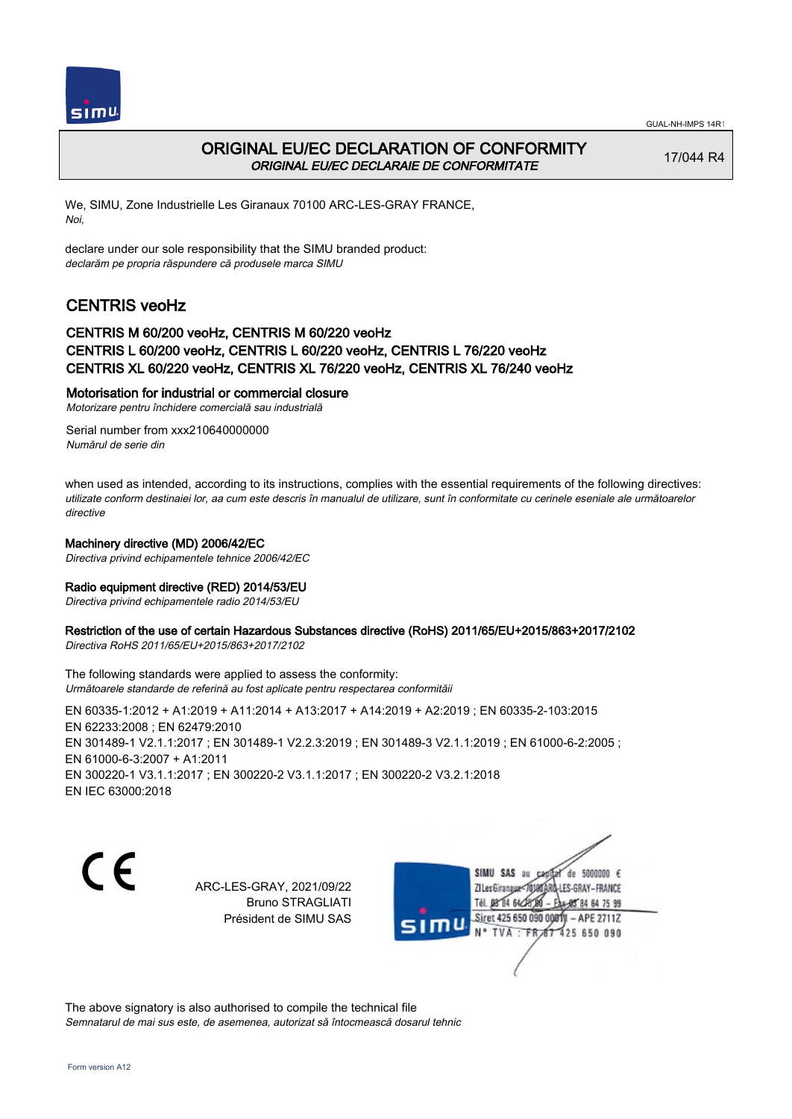



## ORIGINAL EU/EC DECLARATION OF CONFORMITY ORIGINAL EU/EC DECLARAIE DE CONFORMITATE

17/044 R4

We, SIMU, Zone Industrielle Les Giranaux 70100 ARC-LES-GRAY FRANCE, Noi,

declare under our sole responsibility that the SIMU branded product: declarăm pe propria răspundere că produsele marca SIMU

# CENTRIS veoHz

### CENTRIS M 60/200 veoHz, CENTRIS M 60/220 veoHz CENTRIS L 60/200 veoHz, CENTRIS L 60/220 veoHz, CENTRIS L 76/220 veoHz CENTRIS XL 60/220 veoHz, CENTRIS XL 76/220 veoHz, CENTRIS XL 76/240 veoHz

### Motorisation for industrial or commercial closure

Motorizare pentru închidere comercială sau industrială

Serial number from xxx210640000000 Numărul de serie din

when used as intended, according to its instructions, complies with the essential requirements of the following directives: utilizate conform destinaiei lor, aa cum este descris în manualul de utilizare, sunt în conformitate cu cerinele eseniale ale următoarelor directive

### Machinery directive (MD) 2006/42/EC

Directiva privind echipamentele tehnice 2006/42/EC

### Radio equipment directive (RED) 2014/53/EU

Directiva privind echipamentele radio 2014/53/EU

# Restriction of the use of certain Hazardous Substances directive (RoHS) 2011/65/EU+2015/863+2017/2102

Directiva RoHS 2011/65/EU+2015/863+2017/2102

The following standards were applied to assess the conformity: Următoarele standarde de referină au fost aplicate pentru respectarea conformităii

EN 60335‑1:2012 + A1:2019 + A11:2014 + A13:2017 + A14:2019 + A2:2019 ; EN 60335‑2‑103:2015 EN 62233:2008 ; EN 62479:2010 EN 301489-1 V2.1.1:2017 ; EN 301489-1 V2.2.3:2019 ; EN 301489-3 V2.1.1:2019 ; EN 61000-6-2:2005 ; EN 61000‑6‑3:2007 + A1:2011 EN 300220‑1 V3.1.1:2017 ; EN 300220‑2 V3.1.1:2017 ; EN 300220‑2 V3.2.1:2018 EN IEC 63000:2018

 $\epsilon$ 

ARC-LES-GRAY, 2021/09/22 Bruno STRAGLIATI Président de SIMU SAS



The above signatory is also authorised to compile the technical file Semnatarul de mai sus este, de asemenea, autorizat să întocmească dosarul tehnic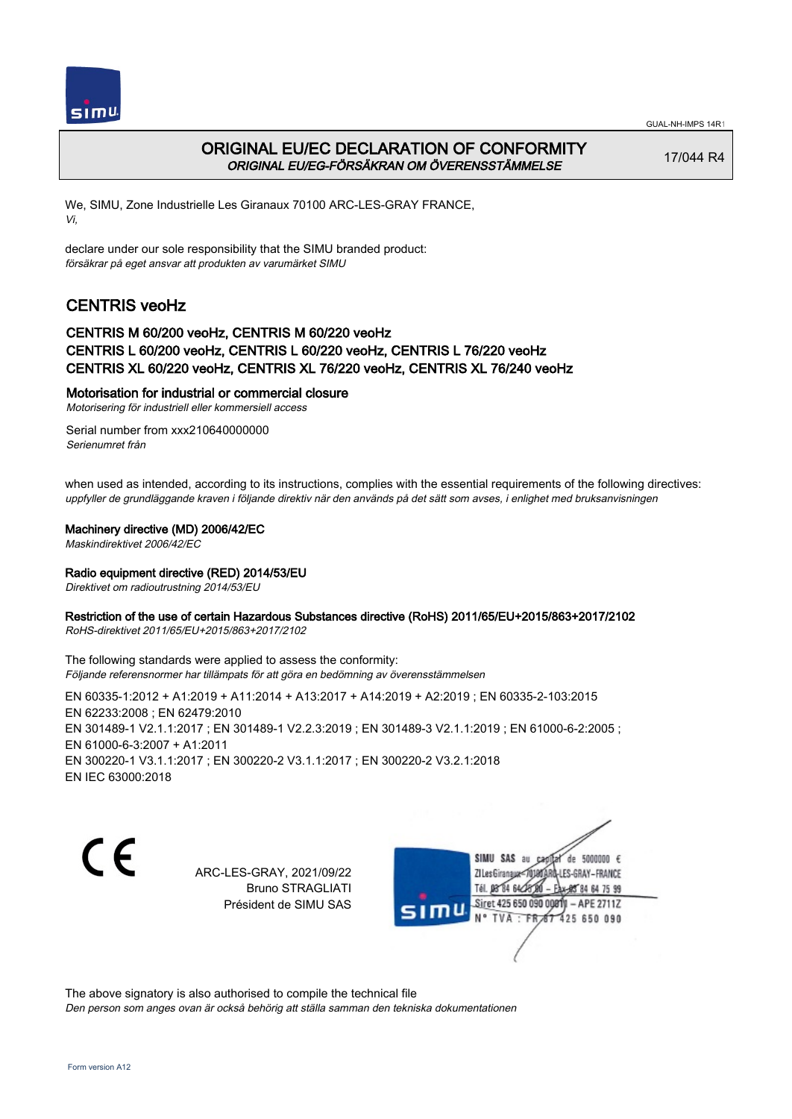



## ORIGINAL EU/EC DECLARATION OF CONFORMITY ORIGINAL EU/EG-FÖRSÄKRAN OM ÖVERENSSTÄMMELSE

17/044 R4

We, SIMU, Zone Industrielle Les Giranaux 70100 ARC-LES-GRAY FRANCE, Vi,

declare under our sole responsibility that the SIMU branded product: försäkrar på eget ansvar att produkten av varumärket SIMU

# CENTRIS veoHz

### CENTRIS M 60/200 veoHz, CENTRIS M 60/220 veoHz CENTRIS L 60/200 veoHz, CENTRIS L 60/220 veoHz, CENTRIS L 76/220 veoHz CENTRIS XL 60/220 veoHz, CENTRIS XL 76/220 veoHz, CENTRIS XL 76/240 veoHz

### Motorisation for industrial or commercial closure

Motorisering för industriell eller kommersiell access

Serial number from xxx210640000000 Serienumret från

when used as intended, according to its instructions, complies with the essential requirements of the following directives: uppfyller de grundläggande kraven i följande direktiv när den används på det sätt som avses, i enlighet med bruksanvisningen

#### Machinery directive (MD) 2006/42/EC

Maskindirektivet 2006/42/EC

### Radio equipment directive (RED) 2014/53/EU

Direktivet om radioutrustning 2014/53/EU

### Restriction of the use of certain Hazardous Substances directive (RoHS) 2011/65/EU+2015/863+2017/2102

RoHS-direktivet 2011/65/EU+2015/863+2017/2102

The following standards were applied to assess the conformity: Följande referensnormer har tillämpats för att göra en bedömning av överensstämmelsen

EN 60335‑1:2012 + A1:2019 + A11:2014 + A13:2017 + A14:2019 + A2:2019 ; EN 60335‑2‑103:2015 EN 62233:2008 ; EN 62479:2010 EN 301489-1 V2.1.1:2017 ; EN 301489-1 V2.2.3:2019 ; EN 301489-3 V2.1.1:2019 ; EN 61000-6-2:2005 ; EN 61000‑6‑3:2007 + A1:2011 EN 300220‑1 V3.1.1:2017 ; EN 300220‑2 V3.1.1:2017 ; EN 300220‑2 V3.2.1:2018 EN IEC 63000:2018

C E

ARC-LES-GRAY, 2021/09/22 Bruno STRAGLIATI Président de SIMU SAS

SIMU SAS au de 5000000  $\epsilon$ ZI Les Giranaux</DJ80AF -LES-GRAY-FRANCE Tél. 08 84 64 28 85 84 64 75 99 Siret 425 650 090 0081  $-$  APE 2711Z 425 650 090 TVA · FRAT

The above signatory is also authorised to compile the technical file Den person som anges ovan är också behörig att ställa samman den tekniska dokumentationen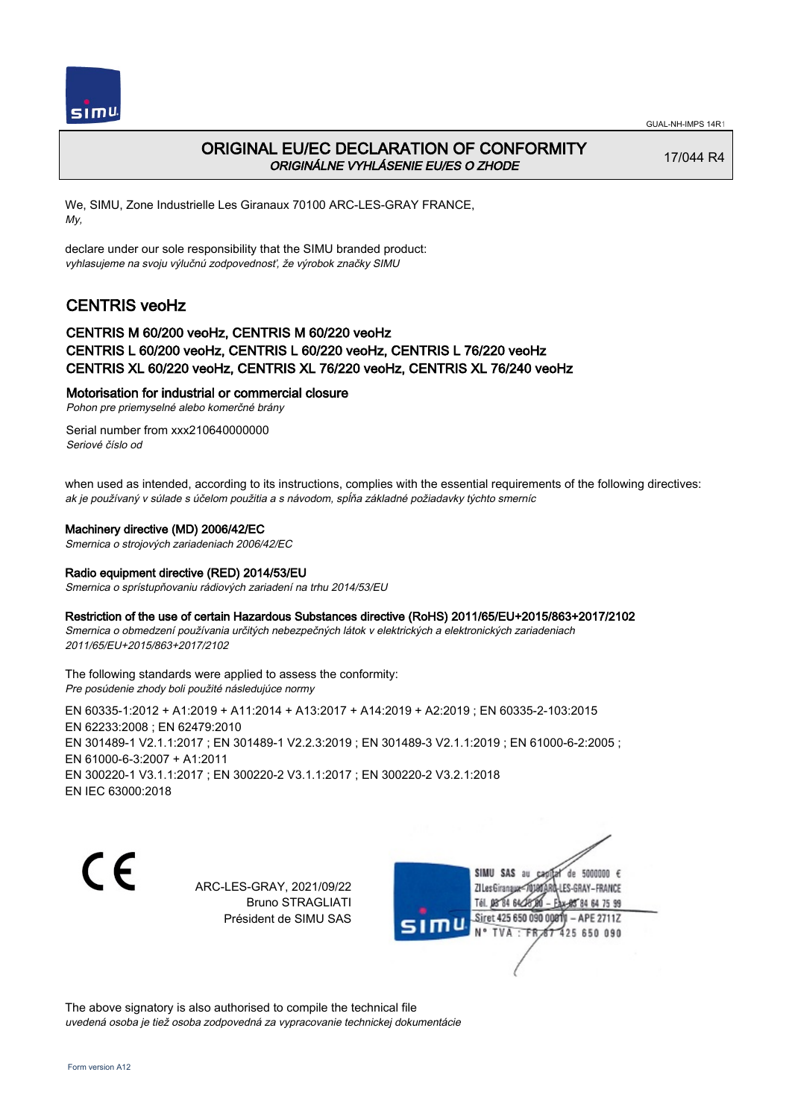

# ORIGINAL EU/EC DECLARATION OF CONFORMITY ORIGINÁLNE VYHLÁSENIE EU/ES O ZHODE

17/044 R4

We, SIMU, Zone Industrielle Les Giranaux 70100 ARC-LES-GRAY FRANCE, My,

declare under our sole responsibility that the SIMU branded product: vyhlasujeme na svoju výlučnú zodpovednosť, že výrobok značky SIMU

# CENTRIS veoHz

## CENTRIS M 60/200 veoHz, CENTRIS M 60/220 veoHz CENTRIS L 60/200 veoHz, CENTRIS L 60/220 veoHz, CENTRIS L 76/220 veoHz CENTRIS XL 60/220 veoHz, CENTRIS XL 76/220 veoHz, CENTRIS XL 76/240 veoHz

### Motorisation for industrial or commercial closure

Pohon pre priemyselné alebo komerčné brány

Serial number from xxx210640000000 Seriové číslo od

when used as intended, according to its instructions, complies with the essential requirements of the following directives: ak je používaný v súlade s účelom použitia a s návodom, spĺňa základné požiadavky týchto smerníc

### Machinery directive (MD) 2006/42/EC

Smernica o strojových zariadeniach 2006/42/EC

### Radio equipment directive (RED) 2014/53/EU

Smernica o sprístupňovaniu rádiových zariadení na trhu 2014/53/EU

### Restriction of the use of certain Hazardous Substances directive (RoHS) 2011/65/EU+2015/863+2017/2102

Smernica o obmedzení používania určitých nebezpečných látok v elektrických a elektronických zariadeniach 2011/65/EU+2015/863+2017/2102

The following standards were applied to assess the conformity: Pre posúdenie zhody boli použité následujúce normy

EN 60335‑1:2012 + A1:2019 + A11:2014 + A13:2017 + A14:2019 + A2:2019 ; EN 60335‑2‑103:2015 EN 62233:2008 ; EN 62479:2010 EN 301489‑1 V2.1.1:2017 ; EN 301489‑1 V2.2.3:2019 ; EN 301489‑3 V2.1.1:2019 ; EN 61000‑6‑2:2005 ; EN 61000‑6‑3:2007 + A1:2011 EN 300220‑1 V3.1.1:2017 ; EN 300220‑2 V3.1.1:2017 ; EN 300220‑2 V3.2.1:2018 EN IEC 63000:2018

C E

ARC-LES-GRAY, 2021/09/22 Bruno STRAGLIATI Président de SIMU SAS



The above signatory is also authorised to compile the technical file uvedená osoba je tiež osoba zodpovedná za vypracovanie technickej dokumentácie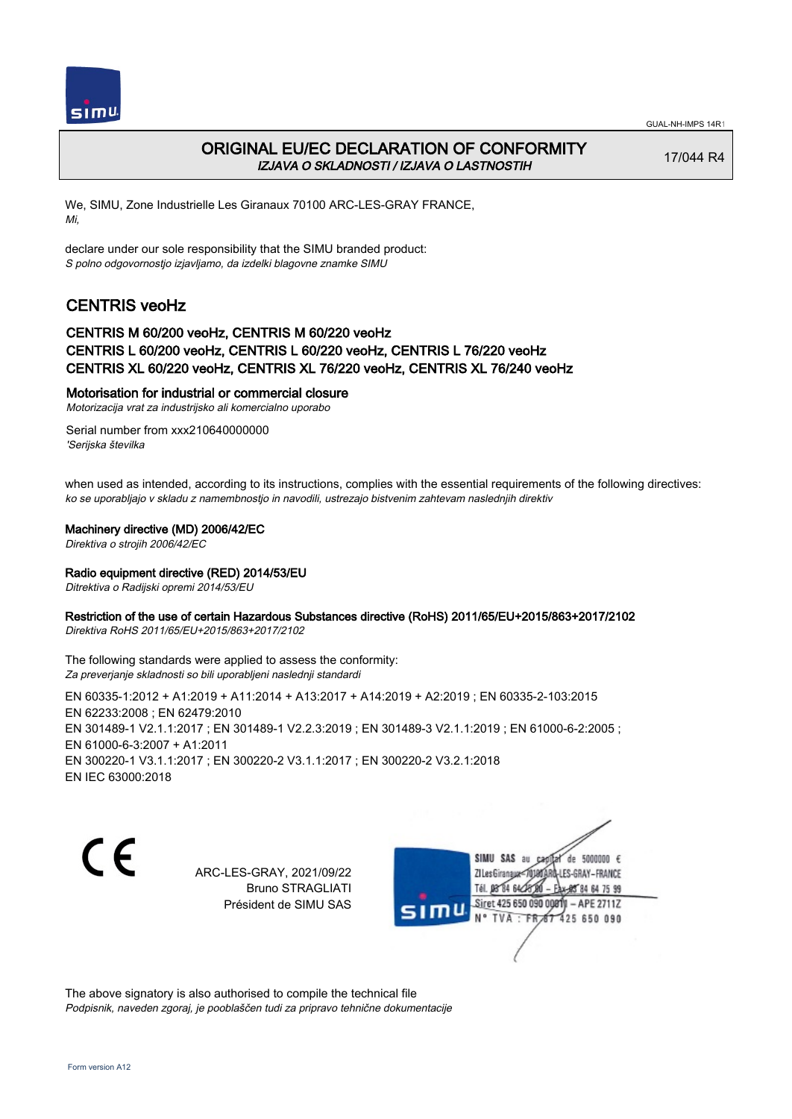



# ORIGINAL EU/EC DECLARATION OF CONFORMITY IZJAVA O SKLADNOSTI / IZJAVA O LASTNOSTIH

17/044 R4

We, SIMU, Zone Industrielle Les Giranaux 70100 ARC-LES-GRAY FRANCE, Mi,

declare under our sole responsibility that the SIMU branded product: S polno odgovornostjo izjavljamo, da izdelki blagovne znamke SIMU

# CENTRIS veoHz

### CENTRIS M 60/200 veoHz, CENTRIS M 60/220 veoHz CENTRIS L 60/200 veoHz, CENTRIS L 60/220 veoHz, CENTRIS L 76/220 veoHz CENTRIS XL 60/220 veoHz, CENTRIS XL 76/220 veoHz, CENTRIS XL 76/240 veoHz

### Motorisation for industrial or commercial closure

Motorizacija vrat za industrijsko ali komercialno uporabo

Serial number from xxx210640000000 'Serijska številka

when used as intended, according to its instructions, complies with the essential requirements of the following directives: ko se uporabljajo v skladu z namembnostjo in navodili, ustrezajo bistvenim zahtevam naslednjih direktiv

### Machinery directive (MD) 2006/42/EC

Direktiva o strojih 2006/42/EC

### Radio equipment directive (RED) 2014/53/EU

Ditrektiva o Radijski opremi 2014/53/EU

### Restriction of the use of certain Hazardous Substances directive (RoHS) 2011/65/EU+2015/863+2017/2102

Direktiva RoHS 2011/65/EU+2015/863+2017/2102

The following standards were applied to assess the conformity: Za preverjanje skladnosti so bili uporabljeni naslednji standardi

EN 60335‑1:2012 + A1:2019 + A11:2014 + A13:2017 + A14:2019 + A2:2019 ; EN 60335‑2‑103:2015 EN 62233:2008 ; EN 62479:2010 EN 301489-1 V2.1.1:2017 ; EN 301489-1 V2.2.3:2019 ; EN 301489-3 V2.1.1:2019 ; EN 61000-6-2:2005 ; EN 61000‑6‑3:2007 + A1:2011 EN 300220‑1 V3.1.1:2017 ; EN 300220‑2 V3.1.1:2017 ; EN 300220‑2 V3.2.1:2018 EN IEC 63000:2018

C E

ARC-LES-GRAY, 2021/09/22 Bruno STRAGLIATI Président de SIMU SAS

SIMU SAS au de 5000000  $\epsilon$ ZI Les Giranaux</DJ80AR -LES-GRAY-FRANCE Tél. 08 84 64 28 85 84 64 75 99 Siret 425 650 090 00811  $-$  APE 2711Z mu 425 650 090 TVA · FRAT

The above signatory is also authorised to compile the technical file Podpisnik, naveden zgoraj, je pooblaščen tudi za pripravo tehnične dokumentacije